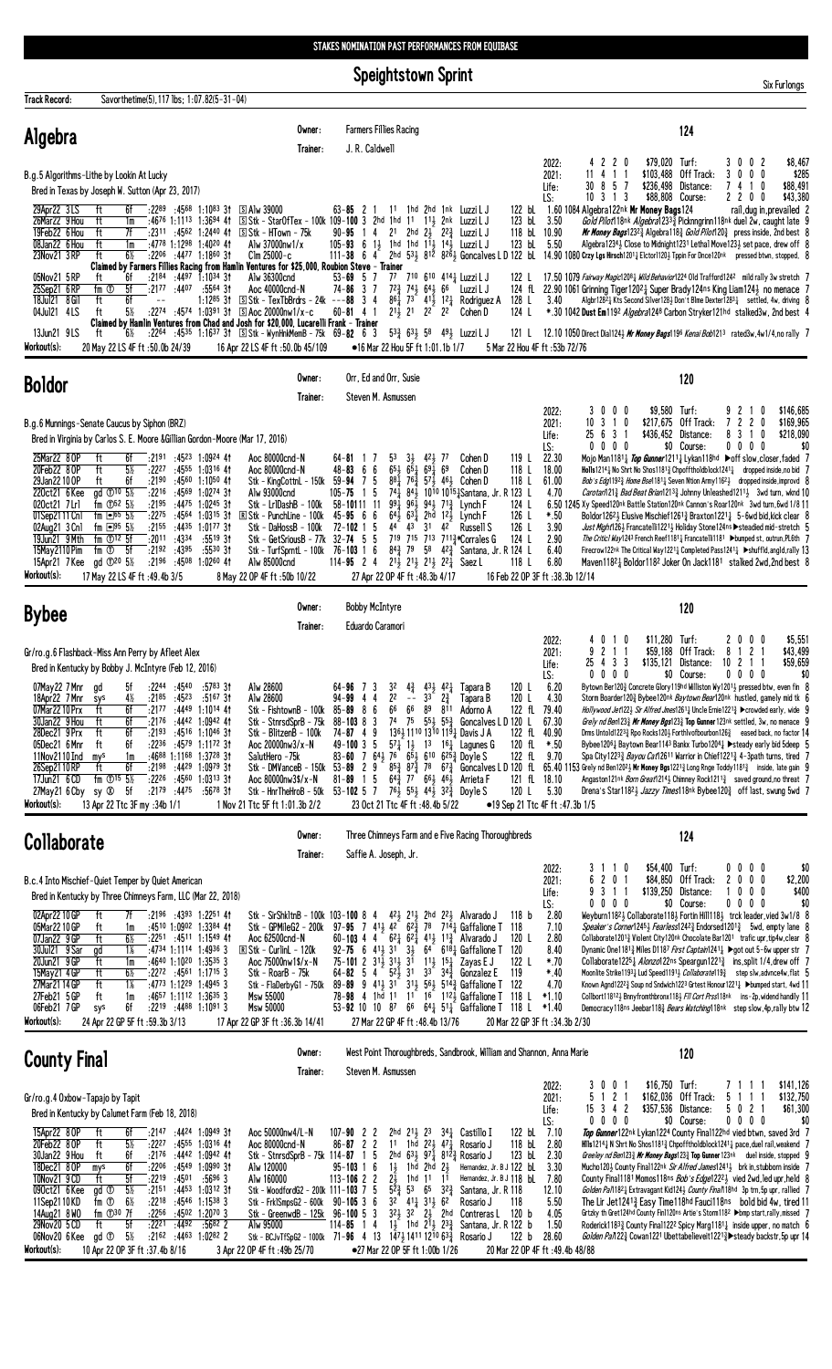Speightstown Sprint

| <b>Track Record:</b>                                                                                                                                                                                            | Savorthetime(5), 117 lbs; 1:07.82(5-31-04)                                                                                                                                                                                                                                                                                    |                                                                                                                                                                                                                                                                                                         |                                                                                                                                                                                                                                                                                                                                                        |                                                                                                                                                                                                                                                                                                                                                                                                                                                                                                                                                                              |                                                                                                                                         |                                                                                                                                                               |                                                                                                                                                                                                                                                                                                                                                                                                                      |                                                                                                                                                              |                                                                                                                  |                                                                                                                                                                                                                                                                                                                                                                                                          |                     |                                    |                                                                                                                                                                                                                                                                                                                                                                                                                                                                                                                                                                                                                                                                                                                                                                                                                                                                                                                                                                                                                                                        |                                                    |            |                                           |
|-----------------------------------------------------------------------------------------------------------------------------------------------------------------------------------------------------------------|-------------------------------------------------------------------------------------------------------------------------------------------------------------------------------------------------------------------------------------------------------------------------------------------------------------------------------|---------------------------------------------------------------------------------------------------------------------------------------------------------------------------------------------------------------------------------------------------------------------------------------------------------|--------------------------------------------------------------------------------------------------------------------------------------------------------------------------------------------------------------------------------------------------------------------------------------------------------------------------------------------------------|------------------------------------------------------------------------------------------------------------------------------------------------------------------------------------------------------------------------------------------------------------------------------------------------------------------------------------------------------------------------------------------------------------------------------------------------------------------------------------------------------------------------------------------------------------------------------|-----------------------------------------------------------------------------------------------------------------------------------------|---------------------------------------------------------------------------------------------------------------------------------------------------------------|----------------------------------------------------------------------------------------------------------------------------------------------------------------------------------------------------------------------------------------------------------------------------------------------------------------------------------------------------------------------------------------------------------------------|--------------------------------------------------------------------------------------------------------------------------------------------------------------|------------------------------------------------------------------------------------------------------------------|----------------------------------------------------------------------------------------------------------------------------------------------------------------------------------------------------------------------------------------------------------------------------------------------------------------------------------------------------------------------------------------------------------|---------------------|------------------------------------|--------------------------------------------------------------------------------------------------------------------------------------------------------------------------------------------------------------------------------------------------------------------------------------------------------------------------------------------------------------------------------------------------------------------------------------------------------------------------------------------------------------------------------------------------------------------------------------------------------------------------------------------------------------------------------------------------------------------------------------------------------------------------------------------------------------------------------------------------------------------------------------------------------------------------------------------------------------------------------------------------------------------------------------------------------|----------------------------------------------------|------------|-------------------------------------------|
| Algebra                                                                                                                                                                                                         |                                                                                                                                                                                                                                                                                                                               |                                                                                                                                                                                                                                                                                                         | Owner:<br>Trainer:                                                                                                                                                                                                                                                                                                                                     | J. R. Caldwell                                                                                                                                                                                                                                                                                                                                                                                                                                                                                                                                                               | <b>Farmers Fillies Racing</b>                                                                                                           |                                                                                                                                                               |                                                                                                                                                                                                                                                                                                                                                                                                                      |                                                                                                                                                              |                                                                                                                  |                                                                                                                                                                                                                                                                                                                                                                                                          |                     |                                    | 124                                                                                                                                                                                                                                                                                                                                                                                                                                                                                                                                                                                                                                                                                                                                                                                                                                                                                                                                                                                                                                                    |                                                    |            |                                           |
|                                                                                                                                                                                                                 | B.g.5 Algorithms-Lithe by Lookin At Lucky<br>Bred in Texas by Joseph W. Sutton (Apr 23, 2017)                                                                                                                                                                                                                                 |                                                                                                                                                                                                                                                                                                         |                                                                                                                                                                                                                                                                                                                                                        |                                                                                                                                                                                                                                                                                                                                                                                                                                                                                                                                                                              |                                                                                                                                         |                                                                                                                                                               |                                                                                                                                                                                                                                                                                                                                                                                                                      |                                                                                                                                                              | 2022:<br>2021:<br>Life:<br>LS:                                                                                   | 4 2 2 0<br>11 4 1 1<br>30 8 5 7<br>$10$ 3 1 3                                                                                                                                                                                                                                                                                                                                                            |                     | \$79,020 Turf:<br>\$88,808 Course: | \$103,488 Off Track:<br>\$236,498 Distance:                                                                                                                                                                                                                                                                                                                                                                                                                                                                                                                                                                                                                                                                                                                                                                                                                                                                                                                                                                                                            | 3002<br>3000<br>7410<br>2200                       |            | \$8,467<br>\$285<br>\$88,491<br>\$43,380  |
| 29Apr22 3LS<br>26Mar22 9 Hou<br>19Feb22 6 Hou<br>08Jan22 6 Hou<br>23Nov21 3 RP                                                                                                                                  | ft<br>6f<br>ft<br>1m<br>ft<br>7f<br>ft<br>1m<br>ft<br>6½                                                                                                                                                                                                                                                                      | $:22^{89}$ $:45^{68}$ 1:10 <sup>83</sup> 31 SAIw 39000<br>:46 <sup>76</sup> 1:11 <sup>13</sup> 1:36 <sup>94</sup> 41<br>:4778 1:1298 1:4020 41<br>:2206 :4477 1:1860 31                                                                                                                                 | S Stk - StarOfTex - 100k 109-100 3 2hd<br>$:2311$ $:4562$ 1:2440 41 SStk - HTown - 75k<br>Alw 37000nw1/x<br>$C$ lm 25000-c<br>Claimed by Farmers Fillies Racing from Hamlin Ventures for \$25,000, Roubion Steve - Trainer                                                                                                                             | $63 - 85$ 2<br>$90 - 95 \quad 14$<br>105-93 6 1 <sup>1</sup> / <sub>2</sub> 1hd 1hd 1 <sup>1</sup> / <sub>2</sub> 1 <sup>4</sup> / <sub>2</sub> Luzzi L J<br>$111 - 38$ 6 4                                                                                                                                                                                                                                                                                                                                                                                                  |                                                                                                                                         |                                                                                                                                                               | 11 1hd 2hd 1nk LuzziLJ<br>1hd 11 113 2nk Luzzi LJ<br>21 2hd 23 22 $\frac{3}{4}$ Luzzi LJ<br>2hd $53\frac{1}{2}$ $81\overline{2}$ $82\overline{6}\frac{1}{2}$ Goncalves L D 122 bL 14.90 1080 Crzy Lgs Hirsch1201 $\frac{1}{4}$ Elctor1120 $\frac{1}{2}$ Tppin For Dnce120nk pressed btwn, stopped, 8                                                                                                                 | 122 bL<br>123 bL 3.50<br>118 bL 10.90<br>123 bL 5.50                                                                                                         |                                                                                                                  | 1.60 1084 Algebra122nk Mr Money Bags124                                                                                                                                                                                                                                                                                                                                                                  |                     |                                    | Gold Pilot 18nk Algebra 12333 Picknngrinn 118nk duel 2w, caught late 9<br>Mr Money Bags12323 Algebra1183 Gold Pilot1203 press inside, 2nd best 8<br>Algebra12343 Close to Midnight1231 Lethal Move1233 set pace, drew off 8                                                                                                                                                                                                                                                                                                                                                                                                                                                                                                                                                                                                                                                                                                                                                                                                                            |                                                    |            | rail, dug in, prevailed 2                 |
| 05Nov21 5 RP<br>25Sep21 6RP<br>18Jul21 8 Gil<br>04Jul21 4LS<br>13Jun21 9LS                                                                                                                                      | ft<br>6f<br>5f<br>fm <sup>①</sup><br>ft<br>6f<br>5½<br>ft<br>ft<br>6½                                                                                                                                                                                                                                                         | $: 2184$ $: 4497$ 1:1034 31<br>:2177 :4407 :5564 31<br>1:12 <sup>85</sup> 31                                                                                                                                                                                                                            | Alw 36300cnd<br>Aoc 40000cnd-N<br>S Stk - TexTbBrdrs - 24k ---88 3 4<br>:2274 :4574 1:0391 31 $\Box$ Aoc 20000nw1/x-c<br>Claimed by Hamlin Ventures from Chad and Josh for \$20,000, Lucarelli Frank - Trainer<br>$:22^{64}$ $:45^{35}$ 1:16 <sup>37</sup> 31 $\quad$ S Stk – WynHnkMemB – 75k 69- <b>82</b> 6 3                                       | $53 - 69$ 5 7<br>$74 - 86$ 3 7<br>$60 - 81$ 4 1                                                                                                                                                                                                                                                                                                                                                                                                                                                                                                                              | $2^{11}$ , $2^{1}$                                                                                                                      | 2 <sup>2</sup> 2 <sup>2</sup>                                                                                                                                 | 77 710 610 414} Luzzi L J<br>72 <sup>3</sup> / <sub>4</sub> 74 <sup>1</sup> / <sub>2</sub> 64 <sup>1</sup> / <sub>2</sub> 66 Luzzi L J<br>$86\frac{1}{4}$ 73 $41\frac{1}{2}$ 12 Rodriguez A<br>Cohen D<br>$53\frac{3}{4}$ 63 <sup>1</sup> / <sub>2</sub> 58 49 <sup>1</sup> / <sub>2</sub> Luzzi L J                                                                                                                 | 122 L<br>128 L<br>124 L<br>121 L                                                                                                                             | 3.40                                                                                                             | 17.50 1079 <i>Fairway Magic</i> 120 <sup>8</sup> 4 <i>Wild Behavior</i> 1224 Old Trafford124 <sup>2</sup> mild rally 3w stretch 7<br>124 fL 22.90 1061 Grinning Tiger12021 Super Brady124ns King Liam124 no menace 7<br>*.30 1042 Dust Em119 <sup>2</sup> Algebra1248 Carbon Stryker121hd stalked3w, 2nd best 4<br>12.10 1050 Direct Dia11243 Mr Money Bags1196 Kenai Bob1213 rated3w, 4w1/4, no rally 7 |                     |                                    | Algbr128 <sup>2</sup> $\frac{1}{4}$ Kts Second Silver128 <sup>3</sup> Don't Blme Dexter128 <sup>3</sup> settled, 4w, driving 8                                                                                                                                                                                                                                                                                                                                                                                                                                                                                                                                                                                                                                                                                                                                                                                                                                                                                                                         |                                                    |            |                                           |
| Workout(s):                                                                                                                                                                                                     | 20 May 22 LS 4F ft: 50.0b 24/39                                                                                                                                                                                                                                                                                               |                                                                                                                                                                                                                                                                                                         | 16 Apr 22 LS 4F ft :50.0b 45/109<br>Owner:                                                                                                                                                                                                                                                                                                             |                                                                                                                                                                                                                                                                                                                                                                                                                                                                                                                                                                              | •16 Mar 22 Hou 5F ft 1:01.1b 1/7<br>Orr, Ed and Orr, Susie                                                                              |                                                                                                                                                               |                                                                                                                                                                                                                                                                                                                                                                                                                      | 5 Mar 22 Hou 4F ft: 53b 72/76                                                                                                                                |                                                                                                                  |                                                                                                                                                                                                                                                                                                                                                                                                          |                     |                                    |                                                                                                                                                                                                                                                                                                                                                                                                                                                                                                                                                                                                                                                                                                                                                                                                                                                                                                                                                                                                                                                        |                                                    |            |                                           |
| <b>Boldor</b>                                                                                                                                                                                                   |                                                                                                                                                                                                                                                                                                                               |                                                                                                                                                                                                                                                                                                         | Trainer:                                                                                                                                                                                                                                                                                                                                               |                                                                                                                                                                                                                                                                                                                                                                                                                                                                                                                                                                              | Steven M. Asmussen                                                                                                                      |                                                                                                                                                               |                                                                                                                                                                                                                                                                                                                                                                                                                      |                                                                                                                                                              | 2022:                                                                                                            | 3000                                                                                                                                                                                                                                                                                                                                                                                                     |                     | \$9,580 Turf:                      | 120                                                                                                                                                                                                                                                                                                                                                                                                                                                                                                                                                                                                                                                                                                                                                                                                                                                                                                                                                                                                                                                    | 92                                                 | 10         | \$146,685                                 |
|                                                                                                                                                                                                                 | B.g.6 Munnings-Senate Caucus by Siphon (BRZ)<br>Bred in Virginia by Carlos S. E. Moore & Gillian Gordon-Moore (Mar 17, 2016)                                                                                                                                                                                                  |                                                                                                                                                                                                                                                                                                         |                                                                                                                                                                                                                                                                                                                                                        |                                                                                                                                                                                                                                                                                                                                                                                                                                                                                                                                                                              |                                                                                                                                         |                                                                                                                                                               |                                                                                                                                                                                                                                                                                                                                                                                                                      |                                                                                                                                                              | 2021:<br>Life:<br>LS:                                                                                            | $10 \t3 \t1 \t0$<br>25 6 3 1<br>0                                                                                                                                                                                                                                                                                                                                                                        | $0\,$ 0 $\,$ 0 $\,$ |                                    | $$217,675$ Off Track:<br>\$436,452 Distance:<br>\$0 Course:                                                                                                                                                                                                                                                                                                                                                                                                                                                                                                                                                                                                                                                                                                                                                                                                                                                                                                                                                                                            | 722<br>831<br>$0\,0\,0\,0$                         | 0<br>0     | \$169,965<br>\$218,090<br>\$0             |
| 25Mar22 80P<br>20Feb22 8 OP<br>29Jan22100P<br>220ct21 6 Kee<br>020ct21 7Lrl<br>01Sep2111 Cn1<br>02Aug21 3 Cn1<br>19Jun21 9 Mth<br>15May 2110 Pim<br>15Apr21 7 Kee<br>Workout(s):                                | 6f<br>ft<br>ft<br>$5\%$<br>:2190<br>ft<br>6f<br>gd 10 5 <sup>%</sup><br>fm $\Phi$ <sup>52</sup> 5 <sup>1</sup> / <sub>2</sub><br>:2195<br>$fm = 65.5%$<br>:2275<br>fm $\Box$ 95 5%<br>fm $\mathbb{O}^{12}$ 5f<br>$:20^{11}$ $:43^{34}$<br>$fm$ $\odot$ 5f<br>:2192:4395<br>gd ①20 5%<br>17 May 22 LS 4F ft: 49.4b 3/5         | $:2191$ $:4523$ 1:0924 41<br>$:22^{27}$ $:45^{55}$ 1:0316 41<br>:4560 1:1050 41<br>$:22^{16}$ $:45^{69}$ 1:0274 31<br>$:4475$ 1:0245 31<br>:4564 1:0315 31<br>:2155 :4435 1:0177 31<br>$:55^{19}31$<br>:5530 31<br>:2196 :4508 1:0260 41                                                                | Aoc 80000cnd-N<br>Aoc 80000cnd-N<br>Stk - KingCottnL - 150k 59-94 7 5<br>Alw 93000cnd<br>Stk – Lr1DashB – 100k<br>$\mathbb{R}$ Stk - PunchLine - 100k<br>Stk - DaHossB - 100k<br>Stk - GetSriousB - 77k<br>Stk - TurfSprntL - 100k 76-103 1 6<br>Alw 85000cnd<br>8 May 22 OP 4F ft: 50b 10/22                                                          | $64 - 81$ 1 7<br>$48 - 83$ 6 6<br>$105 - 75$ 1 5<br>58-10111 11<br>$45 - 95$ 6 6<br>$72 - 102$ 1 5<br>$32 - 74$ 5 5<br>$114 - 95$ 2 4                                                                                                                                                                                                                                                                                                                                                                                                                                        | 53<br>$3\frac{1}{2}$<br>$65\frac{1}{2}$ $65\frac{1}{4}$<br>991<br>961<br>44 43<br>$84\frac{3}{4}$ 79<br>27 Apr 22 OP 4F ft : 48.3b 4/17 | 421 77<br>$69\frac{1}{4}$ $69$<br>31 42<br>$2^{11}_{2}$ $2^{11}_{2}$ $2^{11}_{2}$ $2^{21}_{4}$ Saez L                                                         | Cohen D<br>Cohen D<br>$88\frac{1}{4}$ 76 $\frac{3}{4}$ 57 $\frac{1}{2}$ 46 $\frac{1}{2}$ Cohen D<br>741 843 1010 10151 Santana, Jr. R 123 L<br>$94\frac{1}{2}$ 7 <sup>13</sup> / <sub>4</sub> Lynch F<br>$64\frac{1}{2}$ $63\frac{1}{4}$ $2h\overline{d}$ $12\frac{1}{2}$ Lynch F<br>Russell S<br>719 715 713 7113 Corrales G<br>58 $4^{2}\frac{3}{4}$ Santana, Jr. R 124 L                                          | 119 $L$<br>118 L<br>118 L<br>124 L<br>126 L<br>126 L<br>124 L<br>118 L<br>16 Feb 22 OP 3F ft: 38.3b 12/14                                                    | 22.30<br>18.00<br>61.00<br>4.70<br>$*.50$<br>3.90<br>2.90<br>6.40<br>6.80                                        | 6.50 1245 Xy Speed120nk Battle Station120nk Cannon's Roar120nk 3wd turn, 6wd 1/8 11                                                                                                                                                                                                                                                                                                                      |                     |                                    | Mojo Man1181 $\frac{1}{4}$ Top Gunner1211 $\frac{1}{4}$ Lykan118hd $\blacktriangleright$ off slow, closer, faded 7<br><b>Holls</b> 1214 $\frac{1}{4}$ No Shrt No Shos 1181 $\frac{3}{4}$ Chpoff tholdblock 1241 $\frac{1}{4}$ dropped inside, no bid 7<br>Bob's Edg1192 <sup>3</sup> Home Bse1181 <sup>1</sup> / <sub>2</sub> Seven Ntion Army1162 <sup>1</sup> / <sub>3</sub> dropped inside, improvd 8<br><i>Carotari</i> 121 <sup>3</sup> / <sub>4</sub> <i>Bad Beat Brian</i> 121 <sup>3</sup> / <sub>4</sub> Johnny Unleashed 121 <sup>1</sup> / <sub>2</sub> 3wd turn, wknd 10<br>Boldor126 <sup>2</sup> + Elusive Mischief1261 <sup>3</sup> Braxton1221 <sup>1</sup> 5-6wd bid, kick clear 8<br>Just Might126} Francate1li1221} Holiday Stone124ns Steadied mid-stretch 5<br>The Critic1 Way1243 French Reef11811 Francatelli1181 ▶bumped st, outrun, PL6th 7<br>Firecrow122nk The Critical Way1221 $\frac{1}{4}$ Completed Pass1241 $\frac{1}{4}$ ►shuffld, angld, rally 13<br>Maven11821 Boldor1182 Joker On Jack1181 stalked 2wd, 2nd best 8 |                                                    |            |                                           |
| <b>Bybee</b>                                                                                                                                                                                                    |                                                                                                                                                                                                                                                                                                                               |                                                                                                                                                                                                                                                                                                         | Owner:                                                                                                                                                                                                                                                                                                                                                 | <b>Bobby McIntyre</b>                                                                                                                                                                                                                                                                                                                                                                                                                                                                                                                                                        |                                                                                                                                         |                                                                                                                                                               |                                                                                                                                                                                                                                                                                                                                                                                                                      |                                                                                                                                                              |                                                                                                                  |                                                                                                                                                                                                                                                                                                                                                                                                          |                     |                                    | 120                                                                                                                                                                                                                                                                                                                                                                                                                                                                                                                                                                                                                                                                                                                                                                                                                                                                                                                                                                                                                                                    |                                                    |            |                                           |
|                                                                                                                                                                                                                 | Gr/ro.g.6 Flashback-Miss Ann Perry by Afleet Alex                                                                                                                                                                                                                                                                             |                                                                                                                                                                                                                                                                                                         | Trainer:                                                                                                                                                                                                                                                                                                                                               | Eduardo Caramori                                                                                                                                                                                                                                                                                                                                                                                                                                                                                                                                                             |                                                                                                                                         |                                                                                                                                                               |                                                                                                                                                                                                                                                                                                                                                                                                                      |                                                                                                                                                              | 2022:<br>2021:                                                                                                   | 4010<br>9                                                                                                                                                                                                                                                                                                                                                                                                | 2 1 1               | \$11,280 Turf:<br>\$59,188         | Off Track:                                                                                                                                                                                                                                                                                                                                                                                                                                                                                                                                                                                                                                                                                                                                                                                                                                                                                                                                                                                                                                             | 2000<br>8 1 2 1                                    |            | \$5,551<br>\$43,499                       |
| 07May22 7 Mnr gd<br>18Apr22 7Mnr sys<br>07Mar22 10 Prx<br>30Jan22 9 Hou<br>28Dec21 9 Prx<br>05Dec21 6 Mnr<br>11Nov2110 Ind<br>26Sep2110RP<br>17Jun21 6 CD<br>27May21 6 Cby<br>Workout(s):                       | Bred in Kentucky by Bobby J. McIntyre (Feb 12, 2016)<br>5f<br>:2177<br>ft<br>6f<br>ft<br>6f<br>:2193<br>ft<br>6f<br>ft<br>6f<br>1m<br>mys<br>ft<br>6f<br>:2198<br>fm $\Phi$ <sup>15</sup> 5 <sup>1</sup> / <sub>2</sub><br>sy Ø<br>$:21^{79}$ $:44^{75}$<br>-5f<br>13 Apr 22 Ttc 3F my :34b 1/1                               | :2244 :4540 :5783 31<br>$4\%$ :2185 :4523 :5167 31<br>$:44^{49}$ 1:1014 41<br>:2176 :4442 1:0942 41<br>$:4516$ 1:1046 31<br>$:22^{36}$ $:45^{79}$ 1:1172 31<br>$:4688$ 1:1168 1:3728 31<br>$:4429$ 1:0979 31<br>$:22^{26}$ $:45^{60}$ 1:0313 31<br>:5678 31                                             | Alw 28600<br>Alw 28600<br>Stk - FishtownB - 100k<br>Stk - StnrsdSprB - 75k<br>Stk - BlitzenB - 100k<br>Aoc 20000nw3/x-N<br>SalutHero -75k<br>Stk - DMVanceB - 150k<br>Aoc 80000 $nw3$ \$/ $x$ -N<br>Stk - HnrTheHroB - 50k<br>1 Nov 21 Ttc 5F ft 1:01.3b 2/2                                                                                           | 64-96 7 3 3 <sup>2</sup> 4 <sup>3</sup> <sub>4</sub> 4 <sup>3</sup> <sub>2</sub> 4 <sup>2</sup> <sub>4</sub> Tapara B<br>94-99 4 4 2 <sup>2</sup> -- 3 <sup>3</sup> 2 <sup>3</sup> <sub>4</sub> Tapara B<br>$85 - 89$ 8 6<br>$88 - 103$ 8 3<br>$74 - 87$ 4 9<br>$49 - 100$ 3 5<br>83-60 7 64 $\frac{1}{2}$ 7 <sup>6</sup> 6 <sup>5</sup> $\frac{1}{2}$ 6 <sup>10</sup> 6 <sup>25</sup> $\frac{3}{4}$ Doyle S<br>$53 - 89$ 2 9<br>$81 - 89$ 1 5<br>$53 - 102$ 5 7                                                                                                             | 66<br>66<br>74 75<br>23 Oct 21 Ttc 4F ft : 48.4b 5/22                                                                                   | 89<br>811                                                                                                                                                     | Adorno A<br>$55\frac{1}{2}$ 55 $\frac{3}{4}$ Goncalves L D 120 L<br>1361 1110 1310 1191 Davis J A<br>$57\frac{1}{4}$ 1 $\frac{1}{2}$ 1 <sup>3</sup> 1 <sup>6</sup> $\frac{1}{4}$ Lagunes G<br>$85\frac{3}{4}$ $87\frac{3}{4}$ 78 $67\frac{3}{4}$ Goncalves L D 120 fL<br>$64\frac{3}{4}$ 77 $66\frac{1}{2}$ 46 $\frac{1}{2}$ Arrieta F<br>$76\frac{1}{2}$ 55 $\frac{1}{2}$ 44 $\frac{1}{2}$ 32 $\frac{3}{4}$ Doyle S | 120 L<br>120 L<br>122 fL 79.40<br>122 fL<br>120 fL<br>122 fL<br>121 fl 18.10<br>120 L<br>•19 Sep 21 Ttc 4F ft: 47.3b 1/5                                     | Life:<br>LS:<br>6.20<br>4.30<br>67.30<br>40.90<br>*.50<br>9.70<br>5.30                                           | 25 4 3 3<br>$0\ 0\ 0\ 0$<br>65.40 1153 Grely nd Ben120 <sup>2</sup> 2 Mr Money Bgs1221 $\frac{3}{4}$ Long Rnge Toddy1181 $\frac{3}{4}$ inside, late gain 9                                                                                                                                                                                                                                               |                     |                                    | \$135,121 Distance:<br>\$0 Course:<br>Bytown Ber1203 Concrete Glory119hd Williston Wy12013 pressed btw, even fin 8<br>Storm Boarder1203 Bybee120nk Baytown Bear120nk hustled, gamely mid tk 6<br>Hollywood Jet122} Sir Alfred Jmes12611 Uncle Ernie12213 > crowded early, wide 9<br>Grely nd Ben123 $\frac{3}{4}$ Mr Money Bgs123 $\frac{3}{4}$ Top Gunner 123nk settled, 3w, no menace 9<br>Drms Untold12233 Rpo Rocks1203 ForthIvofbourbon1263 eased back, no factor 14<br>Bybee12061 Baytown Bear1143 Bankx Turbo12041 $\blacktriangleright$ steady early bid 5deep 5<br>Spa City12233 <i>Bayou Cat</i> 12611 Warrior in Chief12213 4-3path turns, tired 7<br>Angaston121nk <i>Born Great</i> 1214 <sub>2</sub> Chimney Rock1211 <sub>3</sub> saved ground, no threat 7<br>Drena's Star11823 Jazzy Times118nk Bybee1203 off last, swung 5wd 7                                                                                                                                                                                                       | $10 \t2 \t1 \t1$<br>$0\,0\,0\,0$                   |            | \$59,659<br>\$0                           |
| Collaborate                                                                                                                                                                                                     |                                                                                                                                                                                                                                                                                                                               |                                                                                                                                                                                                                                                                                                         | Owner:                                                                                                                                                                                                                                                                                                                                                 |                                                                                                                                                                                                                                                                                                                                                                                                                                                                                                                                                                              |                                                                                                                                         |                                                                                                                                                               | Three Chimneys Farm and e Five Racing Thoroughbreds                                                                                                                                                                                                                                                                                                                                                                  |                                                                                                                                                              |                                                                                                                  |                                                                                                                                                                                                                                                                                                                                                                                                          |                     |                                    | 124                                                                                                                                                                                                                                                                                                                                                                                                                                                                                                                                                                                                                                                                                                                                                                                                                                                                                                                                                                                                                                                    |                                                    |            |                                           |
|                                                                                                                                                                                                                 | B.c.4 Into Mischief-Quiet Temper by Quiet American                                                                                                                                                                                                                                                                            |                                                                                                                                                                                                                                                                                                         | Trainer:                                                                                                                                                                                                                                                                                                                                               |                                                                                                                                                                                                                                                                                                                                                                                                                                                                                                                                                                              | Saffie A. Joseph, Jr.                                                                                                                   |                                                                                                                                                               |                                                                                                                                                                                                                                                                                                                                                                                                                      |                                                                                                                                                              | 2022:<br>2021:                                                                                                   | 3 1 1 0<br>6                                                                                                                                                                                                                                                                                                                                                                                             | 2 0 1               | \$54,400 Turf:                     | \$84,850 Off Track:                                                                                                                                                                                                                                                                                                                                                                                                                                                                                                                                                                                                                                                                                                                                                                                                                                                                                                                                                                                                                                    | $0\,0\,0\,0$<br>2000                               |            | \$0<br>\$2,200                            |
| 02Apr22 10 GP<br>05Mar2210 GP<br>07Jan22 9 GP<br>30Jul21 9 Sar<br>20Jun21 9 GP<br>15May21 4 GP<br>27Mar21 14 GP<br>27Feb21 5 GP<br>06Feb21 7GP<br>Workout(s):                                                   | Bred in Kentucky by Three Chimneys Farm, LLC (Mar 22, 2018)<br>ft<br>7f<br>ft<br>1m<br>ft<br>$6\%$<br>$1\%$<br>gd<br>ft<br>1m<br>ft<br>$6\%$<br>ft<br>$1\%$<br>ft<br>1m<br>6f<br>sys<br>24 Apr 22 GP 5F ft: 59.3b 3/13                                                                                                        | $:2196$ $:4393$ 1:2251 41<br>$:4510$ 1:0902 1:3384 41<br>$:22^{51}$ $:45^{11}$ 1:1549 41<br>:4734 1:1114 1:4936 3<br>$:4640$ 1:10 <sup>20</sup> 1:3535 3<br>$:2272$ $:4561$ 1:1715 3<br>$:47^{73}$ 1:12 <sup>29</sup> 1:49 <sup>45</sup> 3<br>$:4657$ 1:1112 1:3635 3<br>$:22^{19}$ $:44^{88}$ 1:1091 3 | Stk - SirShk1tnB - 100k 103-100 8 4<br>Stk - GPMileG2 - 200k<br>Aoc 62500cnd-N<br><b>R Stk - CurlinL - 120k</b><br>Aoc 75000nw1\$/x-N<br>Stk - RoarB - 75k<br>Stk - FlaDerbyG1 - 750k<br>Msw 55000<br>Msw 50000<br>17 Apr 22 GP 3F ft :36.3b 14/41                                                                                                     | 97-95 7 41 <sup>1</sup> / <sub>2</sub> 4 <sup>2</sup> 6 <sup>2</sup> / <sub>4</sub> 78 7 <sup>1</sup> / <sub>4</sub> Gaffalione T 118<br>60-103 4 4 6 <sup>2</sup> 6 <sup>2</sup> 4 <sup>1</sup> 4 <sup>1</sup> $1^{3}$ Alvarado J<br>92-75 6 413 31 33 64 6181 Gaffalione T<br>$75 - 101$ 2 $31\frac{1}{2}$ $31\frac{1}{2}$ $3\frac{1}{1}$<br>64-82 5 4 52 31 33 34 34 Gonzalez E<br>89-89 9 413 31 313 563 514 $\frac{3}{4}$ Gaffalione T<br>78-98 4 1hd 11 11 16 1123 Gaffalione T<br>53-92 10 10 87 66 $64\frac{1}{4}$ 51 <sup>1</sup> / <sub>4</sub> Gaffalione T 118 L | 27 Mar 22 GP 4F ft :48.4b 13/76                                                                                                         |                                                                                                                                                               | $4^{2}\frac{1}{2}$ 2 <sup>1</sup> $\frac{1}{2}$ 2hd 2 <sup>2</sup> $\frac{1}{2}$ Alvarado J<br>$11\frac{1}{2}$ 1 <sup>5</sup> $\frac{1}{4}$ Zayas E J                                                                                                                                                                                                                                                                | 118 <sub>b</sub><br>120 L<br>120<br>122 L<br>119<br>122<br>118 L<br>20 Mar 22 GP 3F ft :34.3b 2/30                                                           | Life:<br>LS:<br>2.80<br>7.10<br>2.80<br>8.40<br>*.70<br>$*40$<br>4.70<br>$*1.10$<br>$*1.40$                      | 9 3 1 1<br>$0\ 0\ 0\ 0$                                                                                                                                                                                                                                                                                                                                                                                  |                     |                                    | \$139,250 Distance:<br>\$0 Course:<br>Weyburn1182½ Collaborate118½ Fortin Hill118½ trck leader, vied 3w1/8 8<br><i>Speaker's Corner</i> 1245 <sub>3</sub> <i>Fearless</i> 1242 <sub>3</sub> Endorsed1201 <sub>3</sub> 5wd, empty lane 8<br>Collaborate12013 Violent City120nk Chocolate Bar1201 trafic upr, tip4w, clear 8<br>Dynamic One1181 <sup>3</sup> Miles D1187 First Captain1241 <sup>1</sup> ► got out 5-6w upper str 7<br>Collaborate1225 $\frac{1}{4}$ Alonzo122ns Speargun1221 $\frac{3}{4}$ ins, split 1/4, drew off 7<br>Moonlite Strike11931 Lud Speed11911 Collaborate1193 step slw, advnce4w, flat 5<br>Known Agnd1222½ Soup nd Sndwich1223 Grtest Honour1221½ ▶bumped start, 4wd 11<br>Collbort11812, Bnnyfromthbronx118, FII Cort Prss118nk ins-2p, widend handily 11<br>Democracy118ns Jeebar118 <sub>4</sub> Bears Watching118nk step slow, 4p, rally btw 12                                                                                                                                                                      | 1<br>$0\,0\,0\,0$                                  | $0\ 0\ 0$  | \$400<br>\$0                              |
| <b>County Final</b>                                                                                                                                                                                             |                                                                                                                                                                                                                                                                                                                               |                                                                                                                                                                                                                                                                                                         | Owner:<br>Trainer:                                                                                                                                                                                                                                                                                                                                     |                                                                                                                                                                                                                                                                                                                                                                                                                                                                                                                                                                              | Steven M. Asmussen                                                                                                                      |                                                                                                                                                               | West Point Thoroughbreds, Sandbrook, William and Shannon, Anna Marie                                                                                                                                                                                                                                                                                                                                                 |                                                                                                                                                              |                                                                                                                  |                                                                                                                                                                                                                                                                                                                                                                                                          |                     |                                    | 120                                                                                                                                                                                                                                                                                                                                                                                                                                                                                                                                                                                                                                                                                                                                                                                                                                                                                                                                                                                                                                                    |                                                    |            |                                           |
| Gr/ro.g.4 Oxbow-Tapajo by Tapit<br>15Apr22 8 OP<br>20Feb22 8 OP<br>30Jan22 9 Hou<br>18Dec21 8 OP<br>10Nov21 9 CD<br>090ct21 6 Kee<br>11Sep2110KD<br>14Aug21 8 WO<br>29Nov20 5 CD<br>06Nov20 6Kee<br>Workout(s): | Bred in Kentucky by Calumet Farm (Feb 18, 2018)<br>6f<br>ft<br>$5\%$<br>ft<br>ft<br>6f<br>6f<br>:2206<br>mys<br>5f<br>:2219<br>ft<br>$5\frac{1}{2}$<br>gd <sup>①</sup><br>:2151<br>fm ①<br>$6\%$<br>fm $\mathbb{D}^{30}$ 7f<br>:2256<br>5f<br>ft<br>:2221 :4492<br>$5\%$<br>gd <sup>T</sup><br>10 Apr 22 OP 3F ft :37.4b 8/16 | $: 2147$ $: 4424$ 1:0949 31<br>$:22^{27}$ $:45^{55}$ 1:0316 41<br>$:2176$ $:4442$ 1:0942 41<br>$:4549$ 1:0990 31<br>:4501<br>:56963<br>:44 <sup>53</sup> 1:0312 3†<br>$:22^{18}$ $:45^{46}$ 1:1538 3<br>:4502 1:2070 3<br>$:5682$ 2<br>$:2162$ $:4463$ $1:0282$ 2                                       | Aoc 50000nw4/L-N<br>Aoc 80000cnd-N<br>Stk - StnrsdSprB - 75k 114-87 1 5<br>Alw 120000<br>Alw 160000<br>Stk - WoodfordG2 - 200k 111-103 7 5<br>Stk – Frk1SmpsG2 – 600k<br>Stk - GreenwdB - 125k 96-100 5 3<br>Alw 95000<br>Stk - BCJvTfSpG2 - 1000k 71 - 96 4 13 1 $\frac{1}{4}$ 7 1411 1210 63 $\frac{3}{4}$ Rosario J<br>3 Apr 22 OP 4F ft :49b 25/70 | $107 - 90$ 2 2<br>$86 - 87$ 2 2<br>$95 - 103$ 1 6<br>$113 - 106$ 2 2<br>$90 - 105$ 3 6<br>$114 - 85$ 1 4                                                                                                                                                                                                                                                                                                                                                                                                                                                                     | $1\frac{1}{2}$<br>$2\overline{3}$<br>$5^{2}\frac{3}{4}$<br>●27 Mar 22 OP 5F ft 1:00b 1/26                                               | 1hd 2hd 21<br>1hd 11 11<br>$3^2$ $4^1\frac{1}{4}$ $3^1\frac{1}{2}$ 6 <sup>2</sup><br>$1\frac{1}{2}$ 1hd $2\overline{1}\frac{1}{2}$ $2\overline{3}\frac{3}{4}$ | 2hd $2^{11}$ , $2^{3}$ $3^{4}$ , Castillo I<br>11 1hd $2^2$ 47 $\frac{1}{4}$ Rosario J<br>2hd $63\frac{1}{2}$ $97\frac{1}{4}$ $81\frac{2}{3}$ Rosario J<br>53 65 32 <sup>3</sup> Santana, Jr. R 118<br>Rosario J<br>$32$ $\frac{1}{2}$ $32$ $21$ $21$ 2 <sup>hd</sup> Contreras L<br>Santana, Jr. R 122 b                                                                                                            | 122 bL<br>118 bL<br>123 bL<br>Hernandez, Jr. B J 122 bl<br>Hernandez, Jr. B J 118 bl<br>118<br>120 b<br>122 <sub>b</sub><br>20 Mar 22 OP 4F ft : 49.4b 48/88 | 2022:<br>2021:<br>Life:<br>LS:<br>7.10<br>2.80<br>2.30<br>3.30<br>7.80<br>12.10<br>5.50<br>4.05<br>1.50<br>28.60 | 3 0 0 1<br>5 1 2 1<br>15 3 4 2<br>$0\ 0\ 0\ 0$                                                                                                                                                                                                                                                                                                                                                           |                     | \$16,750 Turf:                     | \$162,036 Off Track:<br>\$357,536 Distance:<br>\$0 Course:<br>Top Gunner122nk Lykan1224 County Fina1122hd vied btwn, saved 3rd 7<br><b>Hils</b> 1214 $\frac{1}{4}$ N Shrt No Shos 1181 $\frac{3}{4}$ Chpoff tholdblock 1241 $\frac{1}{4}$ pace, duel rail, weakend 7<br>Greeley nd Ben1233 <b>Mr Money Bags</b> 1233 Top Gunner 123nk duel inside, stopped 9<br>Mucho1201 County Final122nk Sir Alfred James12411 brk in, stubborn inside 7<br>County Final1181 Momos118ns <i>Bob's Edge</i> 122 <sup>21</sup> vied 2wd. led upr. held 8<br>Golden Pan1821 Extravagant Kid1241 County Finan18hd 3p trn, 5p upr, railied 7<br>The Lir Jet12413 Easy Time118hd Fauci118ns bold bid 4w, tired 11<br>Grtzky th Gret124hd County Fin1120ns Artie's Storm1182 ▶bmp start,rally,missed 7<br>Roderick11833 County Final1222 Spicy Marg11811 inside upper, no match 6<br>Golden Pan223 Cowan1221 Ubettabelieveit12213 Steady backstr, 5p upr 14                                                                                                                 | 71<br>5<br>$\mathbf{1}$<br>5 0 2 1<br>$0\,0\,0\,0$ | 1 1<br>1 1 | \$141,126<br>\$132,750<br>\$61,300<br>\$0 |

Six Furlongs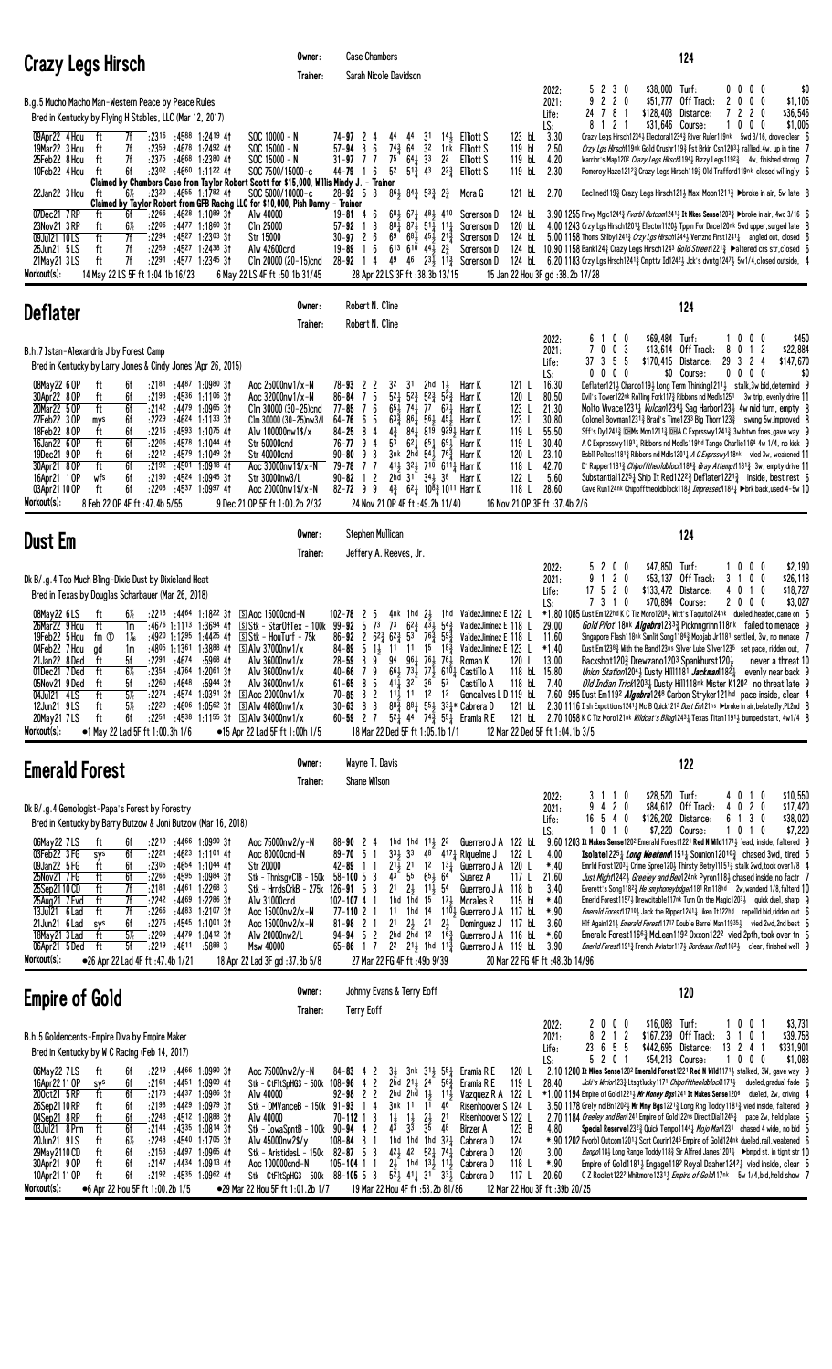| Crazy Legs Hirsch                                                                                                                                                                                                                                                                                                                                                                                                                                                                                                                                                                                                                                                                                                                                                                                                                                                                                                                                                                                                                                                               | Owner:<br>Trainer:                                                                                                                                                                                                                                                                  | <b>Case Chambers</b><br>Sarah Nicole Davidson                                                                                                                                                                                                                                                                                                                                                                                                                                                                                                                                                                                                                                                                                                                                                                                                                                                     | 124                                                                                                                                                                                                                                                                                                                                                                                                                                                                                                                                                                                                                                                                                                                                                                                                                                                                                                                                                                                                                                                                                                                                                                                                                                                                                                                                                                                                                                                                                                                                                                                                                                                                        |
|---------------------------------------------------------------------------------------------------------------------------------------------------------------------------------------------------------------------------------------------------------------------------------------------------------------------------------------------------------------------------------------------------------------------------------------------------------------------------------------------------------------------------------------------------------------------------------------------------------------------------------------------------------------------------------------------------------------------------------------------------------------------------------------------------------------------------------------------------------------------------------------------------------------------------------------------------------------------------------------------------------------------------------------------------------------------------------|-------------------------------------------------------------------------------------------------------------------------------------------------------------------------------------------------------------------------------------------------------------------------------------|---------------------------------------------------------------------------------------------------------------------------------------------------------------------------------------------------------------------------------------------------------------------------------------------------------------------------------------------------------------------------------------------------------------------------------------------------------------------------------------------------------------------------------------------------------------------------------------------------------------------------------------------------------------------------------------------------------------------------------------------------------------------------------------------------------------------------------------------------------------------------------------------------|----------------------------------------------------------------------------------------------------------------------------------------------------------------------------------------------------------------------------------------------------------------------------------------------------------------------------------------------------------------------------------------------------------------------------------------------------------------------------------------------------------------------------------------------------------------------------------------------------------------------------------------------------------------------------------------------------------------------------------------------------------------------------------------------------------------------------------------------------------------------------------------------------------------------------------------------------------------------------------------------------------------------------------------------------------------------------------------------------------------------------------------------------------------------------------------------------------------------------------------------------------------------------------------------------------------------------------------------------------------------------------------------------------------------------------------------------------------------------------------------------------------------------------------------------------------------------------------------------------------------------------------------------------------------------|
| B.g.5 Mucho Macho Man-Western Peace by Peace Rules<br>Bred in Kentucky by Flying H Stables, LLC (Mar 12, 2017)<br>09Apr22 4 Hou<br>7f<br>$: 23^{16}$ $: 45^{88}$ 1:2419 41<br>ft<br>19Mar22 3 Hou<br>7f<br>:2359<br>:4678 1:2492 41<br>ft<br>7f<br>ft<br>$:23^{75}$ $:46^{68}$ 1:2380 41<br>25Feb22 8 Hou<br>6f<br>:2302 :4660 1:1122 41<br>10Feb22 4 Hou<br>ft<br>Claimed by Chambers Case from Taylor Robert Scott for \$15,000, Willis Mindy J. - Trainer<br>22Jan22 3 Hou<br>$6\%$<br>$:23^{20}$ $:46^{55}$ 1:1782 41<br>ft<br>Claimed by Taylor Robert from GFB Racing LLC for \$10,000, Pish Danny - Trainer<br>:46 <sup>28</sup> 1:10 <sup>89</sup> 31<br>07Dec21 7RP<br>6f<br>:2266<br>Alw 40000<br>ft<br>23Nov21 3 RP<br>6½<br>:2206 :4477 1:1860 31<br>ft<br>Clm 25000<br>ft<br>7f<br>09Jul21 10LS<br>:2294<br>:4527 1:2303 31<br>Str 15000<br>ft<br>7f<br>$:22^{59}$ $:45^{27}$ 1:2438 31<br>Alw 42600cnd<br>25Jun21 5LS<br>ft<br>7f<br>21May21 3LS<br>:2291<br>:4577 1:2345 31<br>Workout(s):<br>14 May 22 LS 5F ft 1:04.1b 16/23<br>6 May 22 LS 4F ft :50.1b 31/45 | $SOC 10000 - N$<br>$SOC$ 15000 - N<br>$SOC 15000 - N$<br>SOC 7500/15000-c<br>SOC 5000/10000-c<br>Clm 20000 (20-15)cnd                                                                                                                                                               | 31<br>$14\frac{1}{2}$ Elliott S<br>$74 - 97$ 2<br>44<br>44<br>4<br>$74\frac{3}{4}$ 64<br>$57 - 94$<br>36<br>32<br>1nk Elliott S<br>$75 \t64\frac{1}{4}33$<br>$31 - 97$ 7 7<br>22<br>Elliott S<br>5 <sup>2</sup><br>6<br>$5^{1\frac{3}{4}}$ 43<br>44-79<br>22 $\frac{3}{4}$ Elliott S<br>$\overline{1}$<br>$86\frac{1}{2}$ $84\frac{3}{4}$ $53\frac{3}{4}$ $2\frac{3}{4}$<br>$28 - 92$ 5 8<br>Mora G<br>$19 - 81$ 4 6<br>681 671 481 410 Sorenson D<br>8<br>$88\frac{1}{4}$ $87\frac{1}{2}$ $51\frac{1}{4}$ $11\frac{1}{4}$<br>$57 - 92$ 1<br>Sorenson D<br>69<br>$30 - 97$ 2 6<br>$68\frac{1}{2}$ $45\frac{1}{2}$ $21\frac{3}{4}$<br>Sorenson D<br>- 6<br>$6^{13}$ $6^{10}$ $4^{4}$ , $2^{3}$<br>19-89<br>Sorenson D<br>-1<br>$28 - 92$ 1 4<br>49<br>46 $23\frac{1}{2}$ 1 <sup>13</sup> / <sub>4</sub> Sorenson D<br>28 Apr 22 LS 3F ft: 38.3b 13/15                                              | 5 2 3 0<br>\$38,000 Turf:<br>$0\ 0\ 0\ 0$<br>\$0<br>2022:<br>2 <sub>0</sub><br>$\overline{c}$<br>\$51,777<br>Off Track:<br>2021:<br>9<br>2<br>0<br>0 <sub>0</sub><br>\$1,105<br>24 7 8<br>2 <sub>0</sub><br>\$36,546<br>\$128,403<br>Distance:<br>7<br>$\mathbf{2}$<br>Life:<br>-1<br>$\overline{c}$<br>\$31,646 Course:<br>0<br>\$1,005<br>LS:<br>0<br>0<br>8<br>-1<br>-1<br>123 bL 3.30<br>Crazy Legs Hirsch12343 Electoral12343 River Ruler119nk 5wd 3/16, drove clear 6<br>119 bL 2.50<br>Crzy Lgs Hirsch19nk Gold Crushr119 $\frac{3}{4}$ Fst Brkin Csh12031 rallied, 4w, up in time 7<br>119 bL<br>4.20<br>Warrior's Map120 <sup>2</sup> Crazy Legs Hirsch194 <sub>2</sub> Bizzy Legs1192 <sub>3</sub> 4w, finished strong 7<br>119 bL<br>2.30<br>Pomeroy Haze12123 Crazy Legs Hirsch1193 Old Trafford119nk closed willingly 6<br>121 bL 2.70<br>Declined 119 $\frac{3}{4}$ Crazy Legs Hirsch 121 $\frac{1}{2}$ Maxi Moon 121 $\frac{13}{4}$ Droke in air, 5w late 8<br>124 bl. 3.90 1255 Firwy Mgic1244 $\frac{3}{4}$ Fvorb1 Outcom1241 $\frac{1}{2}$ It Mkes Sense1203 $\frac{3}{4}$ >broke in air, 4wd 3/16 6<br>4.00 1243 Crzy Lgs Hirsch12011 Elector11201 Tppin For Dnce120nk 5wd upper, surged late 8<br>120 bL<br>5.00 1158 Thoms Shlby 1241 <sup>3</sup> Crzy Lgs Hirsch1244 <sup>3</sup> Verrzno First1241 <sup>1</sup> angled out, closed 6<br>124 bL<br>124 bL 10.90 1158 Bank124½ Crazy Legs Hirsch124 <sup>3</sup> Gold Street122 <sup>13</sup> Paltered crs str, closed 6<br>124 bL 6.20 1183 Crzy Lgs Hrsch1241 $\frac{3}{4}$ Cmpttv Id1242 $\frac{1}{2}$ Jck's dvntg1247 $\frac{1}{2}$ 5w1/4, closed outside, 4<br>15 Jan 22 Hou 3F gd: 38.2b 17/28 |
| <b>Deflater</b>                                                                                                                                                                                                                                                                                                                                                                                                                                                                                                                                                                                                                                                                                                                                                                                                                                                                                                                                                                                                                                                                 | Owner:<br>Trainer:                                                                                                                                                                                                                                                                  | Robert N. Cline<br>Robert N. Cline                                                                                                                                                                                                                                                                                                                                                                                                                                                                                                                                                                                                                                                                                                                                                                                                                                                                | 124                                                                                                                                                                                                                                                                                                                                                                                                                                                                                                                                                                                                                                                                                                                                                                                                                                                                                                                                                                                                                                                                                                                                                                                                                                                                                                                                                                                                                                                                                                                                                                                                                                                                        |
| B.h.7 Istan-Alexandria J by Forest Camp<br>Bred in Kentucky by Larry Jones & Cindy Jones (Apr 26, 2015)<br>$:2181$ $:4487$ $1:0980$ 31<br>08May22 6 OP<br>ft<br>6f<br>30Apr22 8 OP<br>ft<br>6f<br>$:2193$ $:4536$ 1:1106 31<br>20Mar22 5 OP<br>ft<br>6f<br>:2142 :4479 1:0965 31<br>27Feb22 30P<br>6f<br>$:22^{29}$ $:46^{24}$ 1:1133 31<br>mys<br>18Feb22 8 OP<br>6f<br>$:22^{16}$ $:45^{93}$ 1:10 <sup>75</sup> 41<br>ft<br>16Jan22 6 OP<br>ft<br>6f<br>:2206<br>:45 <sup>78</sup> 1:10 <sup>44</sup> 41<br><b>Str 50000cnd</b><br>19Dec21 9 OP<br>ft<br>6f<br>:2212<br>:45 <sup>79</sup> 1:10 <sup>49</sup> 3†<br>Str 40000cnd<br>30Apr21 8 OP<br>ft<br>6f<br>:2192<br>:4501 1:0918 41<br>6f<br>$:2190$ $:4524$ 1:0945 31<br>16Apr21 10P<br>wfs<br>6f<br>:2208 :4537 1:0997 41<br>03Apr21 10 OP<br>ft<br>Workout(s):<br>8 Feb 22 OP 4F ft :47.4b 5/55<br>9 Dec 21 OP 5F ft 1:00.2b 2/32                                                                                                                                                                                      | Aoc 25000nw1/x-N<br>Aoc 32000nw1/x-N<br>Clm 30000 (30-25)cnd<br>Clm 30000 (30-25)nw3/L<br>Alw 100000nw1\$/x<br>Aoc 30000nw1\$/x-N<br>Str 30000nw3/L<br>Aoc 20000nw1\$/x-N                                                                                                           | $78 - 93$ 2 2<br>32<br>31<br>$2hd \frac{11}{2}$<br>Harr K<br>$5^{2}$<br>$86 - 84$<br>75<br>$5^{2}\frac{3}{4}$<br>$5^{2}\frac{3}{4}$<br>$5^{2}\frac{3}{4}$<br>Harr K<br>76<br>$65\frac{1}{2}$ 74 $\frac{1}{4}$ 77<br>$77 - 85$<br>671<br>Harr K<br>64-76<br>6<br>5<br>$63\frac{3}{4}$<br>861<br>561 451<br>Harr K<br>84-25<br>8<br>4<br>$4\frac{3}{4}$<br>$84\frac{1}{4}$ $819$ $929\frac{1}{2}$ Harr K<br>5 <sup>3</sup><br>$62\frac{1}{4}$ $65\frac{1}{4}$ $69\frac{1}{2}$ Harr K<br>$76 - 77$ 9 4<br>$90 - 80$ 9 3<br>3nk 2hd 54 $\frac{1}{2}$ 76 $\frac{3}{4}$ Harr K<br>411 321 710 6111 Harr K<br>$79 - 78$ 7 7<br>2hd $31^{\circ}$ $34\frac{1}{2}$ $38^{\circ}$<br>$90 - 82$ 1 2<br>Harr K<br>$82 - 72$ 9 9<br>$4\frac{3}{4}$ 6 <sup>2</sup> $\frac{1}{4}$ 10 <sup>8</sup> $\frac{3}{4}$ 10 <sup>11</sup> Harr K<br>24 Nov 21 OP 4F ft :49.2b 11/40                                         | \$450<br>0 <sub>0</sub><br>\$69,484 Turf:<br>$0\quad 0$<br>2022:<br>10<br>6<br>7 0 0 3<br>\$13,614 Off Track:<br>1 <sub>2</sub><br>\$22,884<br>2021:<br>8<br>0<br>37 3<br>29 3<br>$\overline{c}$<br>\$147,670<br>5<br>-5<br>\$170,415 Distance:<br>4<br>Life:<br>$0\ 0\ 0\ 0$<br>\$0 Course:<br>$0\ 0\ 0\ 0$<br>\$0<br>LS:<br>16.30<br>Deflater1213 Charco1193 Long Term Thinking12113 stalk, 3w bid, determind 9<br>121 L<br>80.50<br>Dvil's Tower122nk Rolling Fork1173 Ribbons nd Medls1251 3w trip, evenly drive 11<br>120 L<br>21.30<br>123 L<br>Molto Vivace1231; <i>Vulcan</i> 1234; Sag Harbor123; 4w mid turn, empty 8<br>123L<br>30.80<br>Colonel Bowman1231 $\frac{3}{4}$ Brad's Time1233 Big Thorn123 $\frac{3}{4}$ swung 5w, improved 8<br>55.50<br>119 L<br>Sff's Dy1241 $\frac{3}{4}$ DHMs Mon1211 $\frac{3}{4}$ DHA C Exprsswy 1241 $\frac{3}{4}$ 3w btwn foes, gave way 9<br>119 L<br>30.40<br>A C Expresswy11931 Ribbons nd Medls119hd Tango Charlie1164 4w 1/4, no kick 9<br>23.10<br>120 L<br>Bsbll Poltcs11813 Ribbons nd Mdls12013 A C Exprsswy118nk vied 3w, weakened 11<br>118 L<br>42.70<br>D' Rapper1181 <sup>3</sup> Chipoff theold block 184 <sup>3</sup> Gray Attempt 181 <sup>3</sup> 3w, empty drive 11<br>122 L<br>5.60<br>Substantial122 <sup>5</sup> <sup>1</sup> Ship It Red122 <sup>23</sup> / <sub>2</sub> Deflater122 <sup>13</sup> / <sub>2</sub> inside, best rest 6<br>118 <sub>L</sub><br>28.60<br>Cave Run124nk Chipofftheoldblock1183 <i>Impressed</i> 1183 <sub>4</sub> Dbrk back, used 4-5w 10<br>16 Nov 21 OP 3F ft : 37.4b 2/6                                                                                             |
| <b>Dust Em</b>                                                                                                                                                                                                                                                                                                                                                                                                                                                                                                                                                                                                                                                                                                                                                                                                                                                                                                                                                                                                                                                                  | Owner:                                                                                                                                                                                                                                                                              | Stephen Mullican                                                                                                                                                                                                                                                                                                                                                                                                                                                                                                                                                                                                                                                                                                                                                                                                                                                                                  | 124                                                                                                                                                                                                                                                                                                                                                                                                                                                                                                                                                                                                                                                                                                                                                                                                                                                                                                                                                                                                                                                                                                                                                                                                                                                                                                                                                                                                                                                                                                                                                                                                                                                                        |
| Dk B/.g.4 Too Much Bling-Dixie Dust by Dixieland Heat                                                                                                                                                                                                                                                                                                                                                                                                                                                                                                                                                                                                                                                                                                                                                                                                                                                                                                                                                                                                                           | Trainer:                                                                                                                                                                                                                                                                            | Jeffery A. Reeves, Jr.                                                                                                                                                                                                                                                                                                                                                                                                                                                                                                                                                                                                                                                                                                                                                                                                                                                                            | \$47,850<br>\$2,190<br>0 <sub>0</sub><br>Turf:<br>0 <sub>0</sub><br>2022:<br>$\mathbf{2}$<br>10<br>$\mathfrak b$<br>$1 2 0$<br>9<br>\$53,137<br>Off Track:<br>3<br>0 <sub>0</sub><br>\$26,118<br>2021:<br>2 <sub>0</sub><br>\$133,472 Distance:<br>\$18,727<br>17<br>5<br>4<br>0<br>$\overline{1}$<br>0<br>Life:                                                                                                                                                                                                                                                                                                                                                                                                                                                                                                                                                                                                                                                                                                                                                                                                                                                                                                                                                                                                                                                                                                                                                                                                                                                                                                                                                           |
| Bred in Texas by Douglas Scharbauer (Mar 26, 2018)<br>:22 <sup>18</sup> :44 <sup>64</sup> 1:18 <sup>22</sup> 31 <b>S</b> Aoc 15000cnd-N<br>08May22 6LS<br>ft<br>6½<br>ft<br>:4676 1:1113 1:3694 41 SStk - StarOfTex - 100k 99-92 5 73<br>26Mar22 9 Hou<br>1m<br>19Feb22 5 Hou<br>fm ①<br>1‰<br>$:49^{20}$ 1:1295 1:4425 41 $\circ$ Stk – HouTurf – 75k<br>:4805 1:1361 1:3888 41 5 Alw 37000nw1/x<br>04Feb22 7 Hou<br>ad<br>1m<br>21Jan22 8Ded<br>ft<br>5f<br>:2291<br>:4674<br>:5968 41<br>$6\%$<br>ft<br>:2354<br>:4764<br>$1:20^{61}3t$<br>01Dec21 7Ded<br>:4648<br>05Nov21 9Ded<br>ft<br>:2260<br>:5944 31<br>5f<br>$5\%$<br>04Jul21 4LS<br>ft<br>:2274<br>:4574<br>1:0391 31<br>$\boxed{S}$ Aoc 20000nw1/x<br>$5\%$<br>ft<br>:2229<br>$:4606$ 1:0562 31<br>S Alw 40800nw1/x<br>12Jun21 9LS<br>ft<br>6f<br>20May21 7LS<br>:2251<br>:4538 1:1155 31 5 Alw 34000nw1/x<br>Workout(s):<br>•1 May 22 Lad 5F ft 1:00.3h 1/6<br>•15 Apr 22 Lad 5F ft 1:00h 1/5                                                                                                                     | Alw 36000nw1/x<br>Alw 36000nw1/x<br>Alw 36000nw1/x                                                                                                                                                                                                                                  | 4nk 1hd $2\frac{1}{2}$ 1hd ValdezJiminez E 122 L<br>$102 - 78$ 2 5<br>73<br>$62\frac{3}{4}$ $4\overline{3}$ $\overline{3}$ $54\frac{3}{4}$<br>86-92 2 6 <sup>2</sup> / <sub>4</sub> 6 <sup>2</sup> / <sub>4</sub> 5 <sup>3</sup> 7 <sup>6</sup> / <sub>4</sub> 5 <sup>9</sup> / <sub>4</sub><br>84-89 5 13 11 11 15 18 <sup>3</sup> ValdezJiminez E 123 L<br>3<br>9<br>94<br>$96\frac{1}{4}$ 761 761 Roman K<br>$28 - 59$<br>$66\frac{1}{2}$ $73\frac{1}{2}$ $77\frac{1}{2}$ $610\frac{1}{4}$ Castillo A<br>79<br>40-66<br>$32^{2}$ $36^{2}$ $57$<br>$61 - 65$ 8 5<br>$41\frac{1}{4}$<br>Castillo A<br>3 <sub>2</sub><br>1 <sup>2</sup><br>70-85<br>$11\frac{1}{2}$ 11<br>1 <sup>2</sup><br>88<br>$8^3\frac{3}{4}$ $8^4\frac{1}{4}$ $5^5\frac{1}{2}$ $3^3\frac{1}{4}$ Cabrera D<br>$30 - 63$<br>$60 - 59$ 2 7<br>$5^{2}$ 44 $7^{4}$ $7^{3}$ $5^{5}$ Eramia R E<br>18 Mar 22 Ded 5F ft 1:05.1b 1/1 | 7 3 1 0<br>\$70.894 Course:<br>2000<br>\$3,027<br>LS:<br>*1.80 1085 Dust Em122hd K C Tiz Moro12083 Witt's Taquito124nk dueled, headed, came on 5<br>ValdezJiminez E 118 L<br>29.00<br><i>Gold Pilot</i> 18nk <i>Algebra</i> 12333 Picknngrinn 118nk failed to menace 9<br>ValdezJiminez E 118 L<br>11.60<br>Singapore Flash118nk Sunlit Song1186 <sup>3</sup> Moojab Jr1181 settled, 3w, no menace 7<br>$*1.40$<br>Dust Em1238 <sub>2</sub> With the Band123ns Silver Luke Silver1235 set pace, ridden out, 7<br>120 L<br>Backshot1203 Drewzano1203 Spankhurst1203<br>13.00<br>never a threat 10<br>118 bL 15.80<br><i>Union Station</i> 1204 <sub>3</sub> Dusty Hill 1181 <i>Jackman</i> 182 <sub>4</sub><br>evenly near back 9<br>118 bL<br>7.40<br>Old Indian Trick12031 Dusty Hill118nk Mister K1202 no threat late 9<br>Goncalves LD 119 bL<br>7.60 995 Dust Em1192 <i>Algebra</i> 1248 Carbon Stryker121hd pace inside, clear 4<br>121 bL<br>2.30 1116 Irsh Expcttions1241½ Mc B Quick121 <sup>2</sup> <i>Dust Em</i> 121ns ▶broke in air,belatedly,PL2nd 8<br>121 bL<br>2.70 1058 K C Tiz Moro121nk <i>Wildcat's Bling</i> 1243 <sub>4</sub> Texas Titan1191 <sub>3</sub> bumped start, 4w1/4 8<br>12 Mar 22 Ded 5F ft 1:04.1b 3/5                                                                                                                                                                                                                                                                                                                                                                                                                                  |
| <b>Emerald Forest</b>                                                                                                                                                                                                                                                                                                                                                                                                                                                                                                                                                                                                                                                                                                                                                                                                                                                                                                                                                                                                                                                           | Owner:<br>Trainer:                                                                                                                                                                                                                                                                  | Wayne T. Davis<br>Shane Wilson                                                                                                                                                                                                                                                                                                                                                                                                                                                                                                                                                                                                                                                                                                                                                                                                                                                                    | 122                                                                                                                                                                                                                                                                                                                                                                                                                                                                                                                                                                                                                                                                                                                                                                                                                                                                                                                                                                                                                                                                                                                                                                                                                                                                                                                                                                                                                                                                                                                                                                                                                                                                        |
| Dk B/.g.4 Gemologist-Papa's Forest by Forestry<br>Bred in Kentucky by Barry Butzow & Joni Butzow (Mar 16, 2018)<br>$:22^{19}$ $:44^{66}$ 1:0990 31<br>06May22 7LS<br>ft<br>6f<br>03Feb22 3FG<br>6f<br>:2221<br>:46 <sup>23</sup> 1:11 <sup>01</sup> 41<br>sys<br>09Jan22 5FG<br>ft<br>6f<br>$: 23^{05}$ $: 46^{54}$ 1:1044 41<br>Str 20000<br>ft<br>6f<br>25Nov21 7 FG<br>$:22^{66}$ $:45^{95}$ 1:0984 31<br>ft<br>7f<br>$:4461$ 1:2268 3<br>25Sep2110CD<br>:2181<br>7f<br>25Aug21 7 Evd<br>ft<br>:2242<br>:44 <sup>69</sup> 1:22 <sup>86</sup> 3†<br>13Jul21 6 Lad<br>ft<br>7f<br>:2266<br>:44 <sup>83</sup> 1:21 <sup>07</sup> 3†<br>:4545 1:1001 31<br>21Jun21 6 Lad<br>:2276<br>6f<br>sys<br>ft<br>18May21 3 Lad<br>5½<br>:2209<br>:4479 1:0412 31<br>ft<br>5f<br>06Apr21 5Ded<br>:2219<br>:4611<br>:58883<br>Msw 40000<br>Workout(s):<br>●26 Apr 22 Lad 4F ft :47.4b 1/21<br>18 Apr 22 Lad 3F gd : 37.3b 5/8                                                                                                                                                               | Aoc 75000nw2/y-N<br>Aoc 80000cnd-N<br>Stk - ThnksgvClB - 150k<br>Stk - HrrdsCrkB - 275k 126-91 5 3<br>Alw 31000cnd<br>Aoc 15000nw2/x-N<br>Aoc 15000nw2/x-N<br>Alw 20000nw2/L                                                                                                        | $88 - 90$ 2 4<br>1hd 1hd 11 $\frac{1}{2}$ 22<br>$33\frac{1}{2}$ 33<br>$48$ <sup>-417</sup> $\frac{1}{4}$ Riquelme J<br>$89 - 70 = 5$<br>- 1<br>$2^{1\bar{1}}$ $2^{1}$<br>$1^2$ $1^3$<br>Guerrero J A 120 L<br>$42 - 89$ 1 1<br>$43-$<br>55<br>$65\frac{1}{2}$ 64<br>$58 - 100$ 5 3<br>Suarez A<br>2 <sup>1</sup><br>2 <sub>3</sub><br>$11\frac{1}{2}$ 54<br>1hd 1hd $15^{6}$ 17 $\frac{1}{2}$ Morales R<br>$102 - 107 + 1$<br>$77 - 11021$<br>11 1hd 14<br>1 <sup>10</sup> <sub>2</sub> Guerrero J A 117 bL<br>$2\frac{1}{2}$ $21$ $2\frac{1}{2}$<br>21<br>$81 - 98$ 2 1<br>$94 - 94$ 5 2<br>2hd 2hd 1 <sup>2</sup> 1 <sup>63</sup> / <sub>4</sub> Guerrero J A 116 bL<br>$65 - 86$ 1 7<br>2 <sup>2</sup> 2 <sup>1</sup> / <sub>2</sub> 1hd 1 <sup>1</sup> / <sub>4</sub> Guerrero J A 119 bL<br>27 Mar 22 FG 4F ft :49b 9/39                                                                     | \$28,520 Turf:<br>2022:<br>\$10,550<br>$1\quad0$<br>0<br>$1\quad0$<br>3<br>4<br>4 2 0<br>\$17,420<br>9<br>\$84,612 Off Track:<br>020<br>2021:<br>4<br>\$38,020<br>540<br>\$126,202 Distance:<br>1 3<br>16<br>6<br>0<br>Life:<br>\$7,220<br>0 1 0<br>\$7,220 Course:<br>LS:<br>1010<br>9.60 1203 It Makes Sense 1202 Emerald Forest1221 Red N Wild1171 $\frac{1}{2}$ lead, inside, faltered 9<br>Guerrero JA 122 bL<br>122 L<br>4.00<br><b>Isolate1225</b> <i>Long Weekend</i> 151 <i>k</i> Sounion 12010 <sup>2</sup> chased 3wd, tired {<br>$*40$<br>Emrld Forst12031 Crime Spree1201 Thirsty Betry11151 $\frac{3}{4}$ stalk 2wd, took over1/8 4<br>117 $L$<br>21.60<br>Just Might 12423 Greeley and Ben124nk Pyron 1183 chased inside, no factr 7<br>Guerrero J A 118 b<br>3.40<br>Everett's Song11823 He'smyhoneybdger1181 Rm118hd 2w, wanderd 1/8, falterd 10<br>115 bL<br>$*.40$<br>Emerld Forest11573 Drewcitable117nk Turn On the Magic12033 quick duel, sharp 9<br>$*.90$<br><i>Emerald Forest</i> 117 <sup>10</sup> } Jack the Ripper124 <sup>1</sup> <sup>1</sup> <sub>4</sub> Liken It122hd repelld bid, ridden out 6<br>Hlf Again121} Emerald Forest11717 Double Barrel Man11935} vied 2wd, 2nd best 5<br>Dominguez J 117 bL<br>3.60<br>$*.60$<br>Emerald Forest1166 $\frac{3}{4}$ McLean119 <sup>2</sup> Oxxon122 <sup>2</sup> vied 2pth, took over tn 5<br>3.90<br><i>EmerId Forest</i> 191 <sub>4</sub> French Aviator 117 <sub>2</sub> <i>Bordeaux Red</i> 16 <sup>2</sup> <sub>2</sub> clear, finished well 9<br>20 Mar 22 FG 4F ft :48.3b 14/96                                                                                                          |
| <b>Empire of Gold</b>                                                                                                                                                                                                                                                                                                                                                                                                                                                                                                                                                                                                                                                                                                                                                                                                                                                                                                                                                                                                                                                           | Owner:<br>Trainer:                                                                                                                                                                                                                                                                  | Johnny Evans & Terry Eoff<br><b>Terry Eoff</b>                                                                                                                                                                                                                                                                                                                                                                                                                                                                                                                                                                                                                                                                                                                                                                                                                                                    | 120                                                                                                                                                                                                                                                                                                                                                                                                                                                                                                                                                                                                                                                                                                                                                                                                                                                                                                                                                                                                                                                                                                                                                                                                                                                                                                                                                                                                                                                                                                                                                                                                                                                                        |
| B.h.5 Goldencents-Empire Diva by Empire Maker<br>Bred in Kentucky by W C Racing (Feb 14, 2017)<br>06May22 7LS<br>:2219 :4466 1:0990 31<br>ft<br>6f<br>16Apr22 11 OP<br>6f<br>:2161<br>:4451 1:0909 41<br>sys<br>200ct21 5RP<br>ft<br>6f<br>:2178<br>:4437 1:0986 31<br>Alw 40000<br>26Sep2110RP<br>6f<br>:2198<br>:44 <sup>29</sup> 1:09 <sup>79</sup> 3†<br>ft<br>:4512 1:0888 31<br>ft<br>6f<br>:2248<br>04Sep21 8RP<br>Alw 40000<br>ft<br>03Jul21 8 Prm<br>6f<br>:2144<br>:4335 1:0814 31<br>20Jun21 9LS<br>$6\%$<br>:2248<br>:4540 1:1705 31<br>ft<br>6f<br>:2153<br>:4497 1:0965 41<br>29May 2110 CD<br>ft<br>30Apr21 9 OP<br>ft<br>6f<br>:2147 :4434 1:0913 41<br>10Apr21 11 OP<br>ft<br>6f<br>$:2192$ $:4535$ 1:0962 41<br>Workout(s):<br>●6 Apr 22 Hou 5F ft 1:00.2b 1/5                                                                                                                                                                                                                                                                                                | Aoc 75000nw2/y-N<br>Stk - CtFltSpHG3 - 500k 108-96 4 2<br>Stk - DMVanceB - 150k 91-93 1 4<br>Stk - IowaSpntB - 100k 90-94 4 2<br>Alw 45000nw2\$/y<br>Stk - AristidesL - 150k 82-87 5 3<br>Aoc 100000cnd-N<br>Stk - CtFltSpHG3 - 500k 88-105 5 3<br>●29 Mar 22 Hou 5F ft 1:01.2b 1/7 | $84 - 83$ 4 2<br>31<br>3nk 31, 551<br>Eramia R E<br>2ĥd<br>$2^{11}$ , $2^{4}$ $5^{6}$<br>Eramia R E<br>$92 - 98$ 2 2<br>2hd 2hd $1\frac{1}{2}$ $11\frac{1}{2}$<br>3nk 11<br>11<br>46<br>$70 - 112$ 1 3<br>$\frac{1}{4^2}$<br>$2\frac{1}{2}$<br>$1\frac{1}{2}$<br>2 <sup>1</sup><br>$3\overline{3}$<br>3 <sup>5</sup><br>48<br><b>Birzer A</b><br>$108 - 84$ 3 1<br>1hd 1hd 1hd $37\frac{1}{4}$<br>Cabrera D<br>$42\frac{1}{2}$ $42$ $52\frac{1}{4}$ $74\frac{1}{4}$<br>Cabrera D<br>$2\frac{1}{2}$<br>$105 - 104$ 1 1<br>1hd 131 111 Cabrera D<br>$5^2$ 41 $1^2$ 31 $3^3$ Cabrera D<br>19 Mar 22 Hou 4F ft: 53.2b 81/86                                                                                                                                                                                                                                                                           | \$16,083<br>0 <sub>0</sub><br>Turf:<br>10<br>0 <sub>1</sub><br>\$3,731<br>2022:<br>$\boldsymbol{0}$<br>8<br>$\overline{c}$<br>2<br>\$167,239<br>Off Track:<br>0<br>\$39,758<br>$\overline{1}$<br>3<br>2021:<br>-1<br>-1<br>23<br>6<br>5<br>5<br>\$442,695 Distance:<br>$13 \t2 \t4$<br>\$331,901<br>Life:<br>20<br>\$54,213 Course:<br>1000<br>\$1,083<br>LS:<br>5<br>-1<br>120 L<br>$2.10$ 1200 It Mkes Sense1202 Emerald Forest1221 Red N Wild1171 $\frac{1}{2}$ stalked, 3W, gave way 9<br>119 L<br>Jcki's Wrrior123} Ltsgtlucky1171 Chipofftheoldblock1171} dueled, gradual fade 6<br>28.40<br>Vazquez R A 122 L<br>*1.00 1194 Empire of Gold12213 <i>Mr Money Bgs</i> 1241 It Makes Sense120 <sup>6</sup> dueled, 2w, driving 4<br>Risenhoover S 124 L<br>$3.50$ 1178 Grely nd Bn120 <sup>2</sup> 3 Mr Mny Bgs1221 <sup>3</sup> Long Rng Toddy1181 <sup>3</sup> vied inside, faltered 9<br>Risenhoover S 122 L<br>2.70 1184 Greeley and Ben1241 Empire of Gold122ns Direct Dia112453 pace 2w, held place 5<br>123 B<br>4.80<br>Special Reserve12323 Quick Tempo11441 Mojo Man1231 chased 4 wide, no bid 5<br>124<br>*.90 1202 Fvorb1 Outcom12011 Scrt Courir1246 Empire of Gold124nk dueled,rail, weakened f<br>120<br>3.00<br><i>Bango</i> 118} Long Range Toddy118} Sir Alfred James1201} Dompd st, in tight str 10<br>118 L<br>$*90$<br>Empire of Gold11813 Engage1182 Royal Daaher12421 vied inside, clear 5<br>117 L<br>20.60<br>C Z Rocket122 <sup>2</sup> Whitmore12313 <i>Empire of Gold</i> 117nk 5w 1/4, bid, held show 7<br>12 Mar 22 Hou 3F ft : 39b 20/25                                                                                                |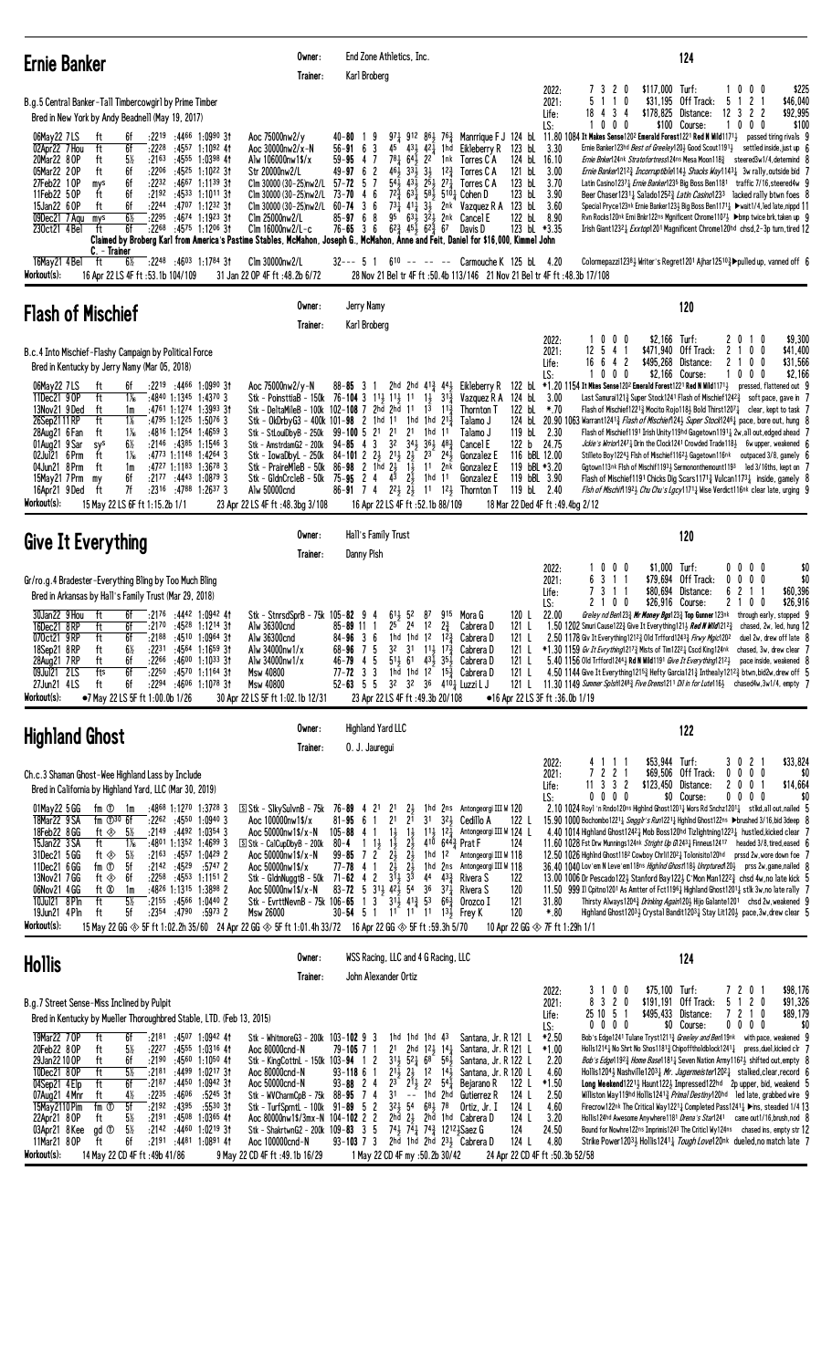| <b>Ernie Banker</b>                                                                                                                                                                                                                                                                                                                                                                                                                                                                                                                                                                                                                                                                                                                                                                                                                                                                       | Owner:<br>Trainer:                                                                                                                                                                                                                                                                                                                     | End Zone Athletics, Inc.<br>Karl Broberg                                                                                                                                                                                                                                                                                                                                                                                                                                                                                                                                                                                                                                                                                                                                                                                                                                                                                                                             | 124                                                                                                                                                                                                                                                                                                                                                                                                                                                                                                                                                                                                                                                                                                                                                                                                                                                                                                                                                                                                                                                                                                                                                                                                                                                                                                                                                                                                                                                                                                                     |
|-------------------------------------------------------------------------------------------------------------------------------------------------------------------------------------------------------------------------------------------------------------------------------------------------------------------------------------------------------------------------------------------------------------------------------------------------------------------------------------------------------------------------------------------------------------------------------------------------------------------------------------------------------------------------------------------------------------------------------------------------------------------------------------------------------------------------------------------------------------------------------------------|----------------------------------------------------------------------------------------------------------------------------------------------------------------------------------------------------------------------------------------------------------------------------------------------------------------------------------------|----------------------------------------------------------------------------------------------------------------------------------------------------------------------------------------------------------------------------------------------------------------------------------------------------------------------------------------------------------------------------------------------------------------------------------------------------------------------------------------------------------------------------------------------------------------------------------------------------------------------------------------------------------------------------------------------------------------------------------------------------------------------------------------------------------------------------------------------------------------------------------------------------------------------------------------------------------------------|-------------------------------------------------------------------------------------------------------------------------------------------------------------------------------------------------------------------------------------------------------------------------------------------------------------------------------------------------------------------------------------------------------------------------------------------------------------------------------------------------------------------------------------------------------------------------------------------------------------------------------------------------------------------------------------------------------------------------------------------------------------------------------------------------------------------------------------------------------------------------------------------------------------------------------------------------------------------------------------------------------------------------------------------------------------------------------------------------------------------------------------------------------------------------------------------------------------------------------------------------------------------------------------------------------------------------------------------------------------------------------------------------------------------------------------------------------------------------------------------------------------------------|
| B.g.5 Central Banker-Tall Timbercowgirl by Prime Timber<br>Bred in New York by Andy Beadnell (May 19, 2017)<br>$:2219$ $:4466$ 1:0990 31<br>06May22 7LS<br>6f<br>ft<br>02Apr22 7 Hou<br>ft<br>6f<br>:2228<br>:45 <sup>57</sup> 1:10 <sup>92</sup> 41<br>20Mar22 8 OP<br>$5\%$<br>:4555 1:0398 41<br>ft<br>:2163<br>05Mar22 20P<br>ft<br>6f<br>:2206<br>:45 <sup>25</sup> 1:10 <sup>22</sup> 3†<br>27Feb22 10P<br>6f<br>:2232<br>$:4667$ 1:1139 31<br>mys<br>11Feb22 50P<br>6f<br>:2192<br>:45 <sup>33</sup> 1:10 <sup>11</sup> 3†<br>ft<br>15Jan22 6 OP<br>6f<br>:2244 :4707 1:1232 31<br>ft<br>$6\%$<br>09Dec21 7 Agu<br>:2295<br>:4674 1:1923 31<br>mys<br>6f<br>$:22^{68}$ $:45^{75}$ 1:1206 31<br>230ct21 4 Bel<br>ft<br>C. - Trainer                                                                                                                                                 | Aoc 75000nw2/y<br>Aoc 30000nw2/x-N<br>Alw 106000nw1\$/x<br>Str 20000nw2/L<br>Clm 30000 (30-25)nw2/L<br>Clm 30000 (30-25)nw2/L<br>Clm 30000 (30-25)nw2/L $60-74$ 3 6<br>Clm 25000nw2/L<br>Clm 16000nw2/L-c                                                                                                                              | 40-80 19<br>$43\frac{1}{2}$ $42\frac{1}{2}$ 1hd Eikleberry R<br>$56 - 91$ 6 3<br>45<br>$78\frac{1}{4}$<br>$59 - 95$ 4 7<br>22<br>64,<br>1nk<br>Torres C A<br>$3\frac{1}{2}$<br>$49 - 97$ 6 2<br>461<br>$33\frac{1}{2}$<br>$12\frac{3}{4}$<br>Torres C A<br>$2^{51}$<br>$54\bar{1}$<br>$27\frac{1}{4}$<br>$57 - 72$ 5 7<br>431<br>Torres C A<br>6<br>$72\frac{5}{4}$ 63 $\frac{1}{4}$ 58 $\frac{1}{2}$ 510 $\frac{1}{4}$ Cohen D<br>$73 - 70$<br>$\overline{4}$<br>$73\frac{1}{4}$<br>4 <sup>1</sup> <sup>1</sup> <sub>4</sub> 3 <sup>1</sup> <sub>2</sub> 2 <sup>nk</sup> Vazquez R A 123 bL 3.60<br>$85 - 9768$<br>95<br>631 321 2nk Cancel E<br>$76 - 65$ 3 6<br>$6^{2}\frac{3}{4}$ $4^{5}\frac{1}{2}$ $6^{2}\frac{3}{4}$ $6^{7}$<br>Davis D<br>Claimed by Broberg Karl from America's Pastime Stables, McMahon, Joseph G., McMahon, Anne and Feit, Daniel for \$16,000, Kimmel John                                                                               | $$117,000$ Turf:<br>1000<br>\$225<br>2022:<br>7320<br>11<br>0<br>\$31,195 Off Track:<br>5<br>2 <sub>1</sub><br>\$46,040<br>2021:<br>5<br>-1<br>12 <sup>3</sup><br>$\overline{\mathbf{c}}$<br>\$92,995<br>434<br>$$178,825$ Distance:<br>$\mathbf{2}$<br>Life:<br>18<br>1000<br>\$100 Course:<br>1000<br>\$100<br>LS:<br>$97\frac{1}{4}$ 912 86 $\frac{1}{2}$ 76 $\frac{3}{2}$ Manrrique F J 124 bL 11.80 1084 It Makes Sense1202 Emerald Forest1221 Red N Wild11711 passed tiring rivals 9<br>$123$ bL $3.30$<br>Ernie Banker123hd Best of Greeley120} Good Scout1191} settled inside, just up 6<br>124 bL 16.10<br><i>Ernie Bnker</i> 124nk Stratofortress124ns Mesa Moon118 <sup>3</sup> steered3w1/4,determind 8<br>121 bL<br>3.00<br><i>Ernie Banker</i> 1212 <sup>3</sup> / <sub>4</sub> <i>Incorruptible</i> 114 <sup>3</sup> / <sub>2</sub> <i>Shacks Way</i> 1143 <sup>1</sup> / <sub>4</sub> 3w rally, outside bid 7<br>123 bL<br>3.70<br>Latin Casino1237 <sub>3</sub> Ernie Banker123 <sup>5</sup> Big Boss Ben1181 traffic 7/16, steered4w 9<br>123 bL<br>3.90<br>Beer Chaser12311 Salado12523 Latin Casino1233 lacked rally btwn foes 8<br>Special Pryce123nk Ernie Banker123 Big Boss Ben1171 } > wait1/4, led late, nippd 11<br>122 bL 8.90<br>Rvn Rocks120nk Erni Bnkr122ns Mgnificent Chrome1107 > ▶bmp twice brk, taken up 9<br>123 bl *3.35<br>Irish Giant12321 Exxtop1201 Magnificent Chrome120hd chsd, 2-3p turn, tired 12                                                                         |
| 16May21 4 Bel<br>:22 <sup>48</sup> :46 <sup>03</sup> 1:17 <sup>84</sup> 31<br>ft<br>6½<br>Workout(s):<br>16 Apr 22 LS 4F ft :53.1b 104/109                                                                                                                                                                                                                                                                                                                                                                                                                                                                                                                                                                                                                                                                                                                                                | Clm 30000nw2/L<br>31 Jan 22 OP 4F ft: 48.2b 6/72                                                                                                                                                                                                                                                                                       | 32--- 5 1 6 <sup>10</sup> -- -- -- Carmouche K 125 bL 4.20<br>28 Nov 21 Bel tr 4F ft : 50.4b 113/146 21 Nov 21 Bel tr 4F ft : 48.3b 17/108                                                                                                                                                                                                                                                                                                                                                                                                                                                                                                                                                                                                                                                                                                                                                                                                                           | Colormepazzi1238} Writer's Regret1201 Ajhar125103 > pulled up, vanned off 6                                                                                                                                                                                                                                                                                                                                                                                                                                                                                                                                                                                                                                                                                                                                                                                                                                                                                                                                                                                                                                                                                                                                                                                                                                                                                                                                                                                                                                             |
| <b>Flash of Mischief</b>                                                                                                                                                                                                                                                                                                                                                                                                                                                                                                                                                                                                                                                                                                                                                                                                                                                                  | Owner:<br>Trainer:                                                                                                                                                                                                                                                                                                                     | Jerry Namy<br>Karl Broberg                                                                                                                                                                                                                                                                                                                                                                                                                                                                                                                                                                                                                                                                                                                                                                                                                                                                                                                                           | 120                                                                                                                                                                                                                                                                                                                                                                                                                                                                                                                                                                                                                                                                                                                                                                                                                                                                                                                                                                                                                                                                                                                                                                                                                                                                                                                                                                                                                                                                                                                     |
| B.c.4 Into Mischief-Flashy Campaign by Political Force<br>Bred in Kentucky by Jerry Namy (Mar 05, 2018)<br>:2219 :4466 1:0990 3†<br>06May22 7LS<br>ft<br>6f<br>11Dec21 9 OP<br>ft<br>1‰<br>:4840 1:1345 1:4370 3<br>13Nov21 9Ded<br>:4761 1:1274 1:3993 3†<br>ft<br>1m<br>$1\%$<br>ft<br>$:4795$ 1:12 <sup>25</sup> 1:5076 3<br>26Sep2111RP<br>ft<br>$1\%$<br>:4816 1:1254 1:4659 3<br>28Aug21 6 Fan<br>01Aug21 9 Sar<br>$:2146$ $:4385$ 1:1546 3<br>$6\%$<br>sys<br>02Jul21 6 Prm<br>$1\%$<br>$:4773$ 1:1148 1:4264 3<br>ft<br>04Jun21 8 Prm<br>ft<br>:4727 1:1183 1:3678 3<br>1m<br>6f<br>$:2177$ $:4443$ $1:08793$<br>15May21 7 Prm<br>my<br>7f<br>$: 23^{16}$ $: 47^{88}$ 1:2637 3<br>16Apr21 9 Ded<br>ft<br>Workout(s):<br>15 May 22 LS 6F ft 1:15.2b 1/1                                                                                                                            | Aoc 75000nw2/v-N<br>Stk - StLouiDbyB - 250k 99-100 5 21 21<br>Stk - PraireMleB - 50k<br>Alw 50000cnd<br>23 Apr 22 LS 4F ft: 48.3bg 3/108                                                                                                                                                                                               | $88 - 85$ 3 1<br>2hd 2hd $4^{13}$ $4^{41}$<br>Eikleberry R<br>Stk - PoinsttiaB - 150k 76-104 3 113 113 11 13 31 $\frac{3}{4}$<br>Vazquez R A<br>Stk - DeltaMileB - 100k 102-108 7 2hd 2hd 11 13 11 $\frac{3}{4}$<br>Thornton T<br>Stk - OkDrbyG3 - 400k 101-98 2 1hd 11 1hd 1hd 213<br>Talamo J<br>2 <sup>1</sup><br>1hd<br>11<br>Talamo J<br>Stk - AmstrdamG2 - 200k 94-85 4 3 32 34 <sub>2</sub> 36 <sub>3</sub> 48 <sub>2</sub><br>Cancel E<br>Stk - IowaDbyL - 250k 84-101 2 $2\frac{1}{2}$ $2\frac{1}{2}$ $2\frac{1}{2}$<br>$2^3$ $2^4$<br>Gonzalez E<br>86-98 2 1hd $2\frac{1}{2}$ 1 $\frac{1}{2}$<br>11 2nk<br>Gonzalez E<br>Stk - GldnCrcleB - 50k 75-95 2 4 43 23<br>1hd 11<br>Gonzalez E<br>86-91 7 4 $2^2\frac{1}{2}$ 2 <sup>1</sup> $1^2\frac{1}{2}$ Thornton T<br>16 Apr 22 LS 4F ft :52.1b 88/109                                                                                                                                                      | 0<br>$0\quad 0$<br>$$2,166$ Turf:<br>\$9,300<br>2022:<br>20<br>$1\quad0$<br>5 4 1<br>\$471.940 Off Track:<br>\$41,400<br>2021:<br>12<br>$\mathbf{2}$<br>0<br>0<br>16 6 4 2<br>\$495,268 Distance:<br>\$31,566<br>21<br>0<br>0<br>Life:<br>LS:<br>$0\quad 0$<br>\$2,166 Course:<br>$^{\circ}$<br>100<br>- 0<br>\$2,166<br>122 bL *1.20 1154 It Mkes Sense1202 Emerald Forest1221 Red N Wild1171 <sub>2</sub> pressed, flattened out 9<br>124 bL 3.00<br>Last Samurai121 $\frac{3}{4}$ Super Stock1241 Flash of Mischief1242 $\frac{3}{4}$ soft pace, gave in 7<br>122 bl *.70<br>Flash of Mischief12213 Mocito Rojo1183 Bold Thirst12071 clear, kept to task 7<br>124 bL 20.90 1063 Warrant12413 <i>Flash of Mischief</i> 1243 <i>Super Stock</i> 12461 pace, bore out, hung 8<br>119 bL 2.30<br>Flash of Mischief1191 Irish Unity119hd Gagetown11911 2w, all out, edged ahead 7<br>122 b 24.75<br><i>Jckie's Wrrior</i> 1247 $\frac{1}{4}$ Drin the Clock1241 Crowded Trade118 $\frac{1}{2}$ 6w upper, weakened 6<br>116 bBL 12.00<br>Stilleto Boy1224} Flsh of Mischief1162} Gagetown116nk outpaced 3/8, gamely 6<br>119 bBL *3.20<br>Ggtown113nk Flsh of Mischif11931 Sermononthemount1193 led 3/16ths, kept on 7<br>119 bBL 3.90<br>Flash of Mischief1191 Chicks Dig Scars1171 $\frac{3}{4}$ Vulcan1173 $\frac{1}{4}$ inside, gamely 8<br>119 bL 2.40<br><i>Flsh of Mischif</i> 1192 <sub>3</sub> <i>Chu Chu's Lgcy</i> 1171 <sub>4</sub> Wise Verdict116nk clear late, urging 9<br>18 Mar 22 Ded 4F ft: 49.4bg 2/12 |
| <b>Give It Everything</b>                                                                                                                                                                                                                                                                                                                                                                                                                                                                                                                                                                                                                                                                                                                                                                                                                                                                 | Owner:<br>Trainer:                                                                                                                                                                                                                                                                                                                     | Hall's Family Trust<br>Danny Pish                                                                                                                                                                                                                                                                                                                                                                                                                                                                                                                                                                                                                                                                                                                                                                                                                                                                                                                                    | 120                                                                                                                                                                                                                                                                                                                                                                                                                                                                                                                                                                                                                                                                                                                                                                                                                                                                                                                                                                                                                                                                                                                                                                                                                                                                                                                                                                                                                                                                                                                     |
| Gr/ro.g.4 Bradester-Everything Bling by Too Much Bling<br>Bred in Arkansas by Hall's Family Trust (Mar 29, 2018)<br>30Jan22 9 Hou<br>ft<br>6f<br>:2176 :4442 1:0942 41<br>:2170 :4528 1:1214 31<br>16Dec21 8 RP<br>ft<br>6f<br>070ct21 9RP<br>ft<br>6f<br>$:2188$ $:4510$ 1:0964 31<br>18Sep21 8RP<br>ft<br>6½<br>:2231 :4564 1:1659 31<br>ft<br>$:22^{66}$ $:46^{00}$ 1:10 <sup>33</sup> 31<br>28Aug21 7RP<br>6f<br>:4570 1:1164 31<br>09Jul21 2LS<br>fts<br>6f<br>:2250<br>:2294 :4606 1:1078 31<br>27Jun21 4LS<br>6f<br>ft<br>Workout(s):<br>•7 May 22 LS 5F ft 1:00.0b 1/26                                                                                                                                                                                                                                                                                                           | Stk - StnrsdSprB - 75k 105- <b>82</b> 9 4<br>Alw 36300cnd<br>Alw 36300cnd<br>Alw 34000nw1/x<br>Alw 34000nw1/x<br><b>Msw 40800</b><br><b>Msw 40800</b><br>30 Apr 22 LS 5F ft 1:02.1b 12/31                                                                                                                                              | $61\frac{1}{2}$ 52<br>9 <sup>15</sup> Mora G<br>87<br>$85 - 89$ 11 1<br>25 24 12<br>$2\frac{3}{4}$<br>Cabrera D<br>1hd 1hd 1 <sup>2</sup> 1 <sup>2</sup> $\frac{3}{4}$ Cabrera D<br>$84 - 96$ 3 6<br>68-96 7 5 32 31 11 1 <sup>2</sup> 17 <sup>3</sup> Cabrera D<br>-5<br>$5^{11}$ 6 <sup>1</sup> $4^{3}$ $\frac{1}{2}$ 3 <sup>5</sup> $\frac{1}{2}$ Cabrera D<br>46-794<br>77- <b>72</b> 3<br>3<br>1hd 1hd 12 $15\frac{3}{4}$ Cabrera D<br>$3^2$ $3^2$ $3^6$ $4^{10}$ <sub>4</sub> Luzzi L J<br>$52 - 63$ 5 5<br>23 Apr 22 LS 4F ft: 49.3b 20/108                                                                                                                                                                                                                                                                                                                                                                                                                   | 0 <sub>0</sub><br>$$1.000$ Turf:<br>$0\quad 0$<br>$0\quad 0$<br>\$0<br>2022:<br>$\mathbf 0$<br>\$79,694 Off Track:<br>63<br>1 1<br>0 <sub>0</sub><br>\$0<br>2021:<br>00<br>7311<br>\$80,694 Distance:<br>6<br>$\overline{c}$<br>1 1<br>\$60,396<br>Life:<br>2 1 0 0<br>\$26,916 Course:<br>\$26,916<br>LS:<br>210<br>0<br>22.00<br>Greley nd Ben1233 <b>Mr Money Bgs</b> 1233 Top Gunner 123nk through early, stopped 9<br>120 L<br>1.50 1202 Smuri Cause122 $\frac{3}{4}$ Give It Everything121 $\frac{1}{4}$ Red N Wild121 <sup>23</sup> chased, 2w, led, hung 12<br>121 L<br>121 L<br>2.50 1178 Giv It Everything12123 Old Trfford12433 Firwy Mgic1202 duel 2w, drew off late 8<br>121 L *1.30 1159 Gv It Evrything12173 Mists of Tim12221 Cscd King124nk chased, 3w, drew clear 7<br>5.40 1156 Old Trfford12443 Rd N Wild1191 Give It Everything12123 pace inside, weakened 8<br>121 L<br>4.50 1144 Give It Everything 12153 Hefty Garcia 1213 Inthealy 12123 btwn.bid2w.drew off 5<br>121 L<br>11.30 1149 Summer Sp1sh1248 $\frac{3}{4}$ Five Drems1211 Dil in for Lute116 $\frac{1}{2}$ chased4w, 3w1/4, empty 7<br>121 L<br>•16 Apr 22 LS 3F ft :36.0b 1/19                                                                                                                                                                                                                                                                                                                                                      |
| <b>Highland Ghost</b>                                                                                                                                                                                                                                                                                                                                                                                                                                                                                                                                                                                                                                                                                                                                                                                                                                                                     | Owner:<br>Trainer:                                                                                                                                                                                                                                                                                                                     | <b>Highland Yard LLC</b><br>0. J. Jauregui                                                                                                                                                                                                                                                                                                                                                                                                                                                                                                                                                                                                                                                                                                                                                                                                                                                                                                                           | 122                                                                                                                                                                                                                                                                                                                                                                                                                                                                                                                                                                                                                                                                                                                                                                                                                                                                                                                                                                                                                                                                                                                                                                                                                                                                                                                                                                                                                                                                                                                     |
| Ch.c.3 Shaman Ghost-Wee Highland Lass by Include<br>Bred in California by Highland Yard, LLC (Mar 30, 2019)<br>:4868 1:1270 1:3728 3<br>01May22 5 GG<br>fm ① 1m<br>18Mar22 9 SA<br>fm $\mathbb{D}^{30}$ 6f<br>$:22^{62}$ $:45^{50}$ 1:0940 3<br>ft $\otimes$ 5%<br>$:2149$ $:4492$ $1:0354$ 3<br>18Feb22 8 GG<br>$:4801$ 1:1352 1:4699 3<br>15Jan22 3 SA<br>ft<br>1‰<br>31Dec21 5 GG<br>$:21^{63}$ $:45^{57}$ 1:0429 2<br>ft ⊗<br>$5\%$<br>11Dec21 6 GG<br>fm ①<br>$:2142$ $:4529$ $:5747$ 2<br>5f<br>13Nov21 7 GG<br>$:22^{58}$ $:45^{53}$ 1:1151 2<br>ft ⊗<br>6f<br>06Nov21 4 GG<br>ft Ø<br>1m<br>:4826 1:1315 1:3898 2<br>5½<br>:2155 :4566 1:0440 2<br>10Jul21 8 Pln<br>ft<br>19Jun21 4 Pln<br>5f<br>$:2354$ $:4790$ $:5973$ 2<br>ft<br>Workout(s):<br>15 May 22 GG $\otimes$ 5F ft 1:02.2h 35/60 24 Apr 22 GG $\otimes$ 5F ft 1:01.4h 33/72 16 Apr 22 GG $\otimes$ 5F ft :59.3h 5/70 | S Stk - S1kySu1vnB - 75k 76-89 4 21<br>Aoc 100000nw1\$/x<br>Aoc 50000nw1\$/x-N<br>$S$ Stk - CalCupDbyB - 200k<br>Aoc 50000nw1\$/x-N<br>Aoc 50000nw1\$/x<br>Stk - GildnNuggtB - 50k $71-62$ 4 2<br>Aoc 50000nw1\$/x-N<br>Msw 26000                                                                                                      | 2 <sup>1</sup><br>$2\frac{1}{2}$<br>1hd 2ns Antongeorgi III W 120<br>2 <sup>1</sup><br>3 <sup>1</sup><br>321 Cedillo A<br>$81 - 95$ 6 1<br>21<br>$11\frac{1}{2}$ 12 $\frac{1}{4}$ Antongeorgi III W 124 L<br>$105 - 88$ 4 1<br>$1\frac{1}{2}$<br>$1\frac{1}{2}$<br>$4^{10}$ 6 <sup>443</sup> / <sub>4</sub> Prat F<br>$80 - 4$ 1 $1\frac{1}{2}$<br>$2\frac{1}{2}$<br>$1\frac{1}{2}$<br>$2\frac{1}{2}$<br>$2\frac{1}{2}$<br>$99 - 85$ 7 2<br>1hd 12<br>Antongeorgi III W 118<br>$2\frac{1}{2}$ $2\frac{1}{2}$<br>$77 - 78$ 4 1<br>1hd 2ns Antongeorgi III W 118<br>$3\bar{1}$ $\frac{1}{2}$ $3\bar{3}$<br>44 $43\frac{3}{4}$ Rivera S<br>83-72 5 3 <sup>1</sup> / <sub>2</sub> 4 <sup>2</sup> / <sub>2</sub> 5 <sup>4</sup> 3 <sup>6</sup> 3 <sup>7</sup> / <sub>4</sub> Rivera S<br>Stk - EvrttNevnB - 75k 106-65 1 3 31 $\frac{1}{2}$ 41 $\frac{3}{4}$ 53 66 $\frac{3}{4}$ 0rozco I<br>30-54 5 1 1 <sup>1</sup> 1 <sup>1</sup> 1 <sup>1</sup> 1 <sup>3</sup> Frey K | \$33,824<br>$$53,944$ Turf:<br>3 0 2 1<br>2022:<br>4 1 1 1<br>7 2 2 1<br>\$69,506 Off Track:<br>$0\ 0\ 0\ 0$<br>2021:<br>\$0<br>$11$ 3 3 2<br>\$123,450 Distance:<br>\$14,664<br>2 0 0 1<br>Life:<br>$0\ 0\ 0\ 0$<br>\$0 Course:<br>$0\,0\,0\,0$<br>\$0<br>LS:<br>2.10 1024 Roy1 'n Rndo120ns Highlnd Ghost1201 $\frac{1}{4}$ Wors Rd Snchz1201 $\frac{1}{4}$ stlkd, all out, nailed 5<br>15.90 1000 Bochombo1221} Smaalr's Run1221} Hahlnd Ghost122ns ▶brushed 3/16, bid 3deep 8<br>122 L<br>4.40 1014 Highland Ghost124 <sup>2</sup> Mob Boss120hd Tizlightning122 <sup>3</sup> hustled, kicked clear 7<br>124<br>11.60 1028 Fst Drw Munnings124nk Stright Up G12431 Finneus12417 headed 3/8, tired, eased 6<br>12.50 1026 Highlnd Ghost118 <sup>2</sup> Cowboy Chrli120 <sup>2</sup> <sup>1</sup> Tolonisito120 <sup>hd</sup> prssd 2w, wore down foe 7<br>36.40 1040 Lov'em N Leve'em118ns HighInd Ghost118} Unrptured120} prss 2w, game, nailed 8<br>122<br>13.00 1006 Dr Pescado 1223 Stanford Bay 1223 C'Mon Man122 $^{23}$ chsd 4w,no late kick 5<br>120<br>11.50 999 Il Cpitno1201 As Amtter of Fct11961 Highland Ghost12011 stlk 3w, no late rally 7<br>121<br>Thirsty Always12043 Drinking Again1203 Hijo Galante1201 chsd 2w, weakened 9<br>31.80<br>120<br>$*.80$<br>Highland Ghost12033 Crystal Bandit12031 Stay Lit1203 pace, 3w, drew clear 5<br>10 Apr 22 GG $\otimes$ 7F ft 1:29h 1/1                                                                                                                 |
| Hollis                                                                                                                                                                                                                                                                                                                                                                                                                                                                                                                                                                                                                                                                                                                                                                                                                                                                                    | Owner:<br>Trainer:                                                                                                                                                                                                                                                                                                                     | WSS Racing, LLC and 4 G Racing, LLC<br>John Alexander Ortiz                                                                                                                                                                                                                                                                                                                                                                                                                                                                                                                                                                                                                                                                                                                                                                                                                                                                                                          | 124                                                                                                                                                                                                                                                                                                                                                                                                                                                                                                                                                                                                                                                                                                                                                                                                                                                                                                                                                                                                                                                                                                                                                                                                                                                                                                                                                                                                                                                                                                                     |
| B.g.7 Street Sense-Miss Inclined by Pulpit<br>Bred in Kentucky by Mueller Thoroughbred Stable, LTD. (Feb 13, 2015)<br>19Mar22 70P<br>ft<br>$: 2181$ $: 4507$ 1:0942 41<br>6f<br>20Feb22 8 OP<br>ft<br>$5\%$<br>:2227<br>:4555 1:0316 41<br>29Jan22100P<br>ft<br>6f<br>$:2190$ $:4560$ 1:1050 41<br>10Dec21 80P<br>ft<br>$5\%$<br>:2181<br>:4499 1:0217 31<br>04Sep21 4 Elp<br>ft<br>6f<br>:2187<br>:4450 1:0942 31<br>$:22^{35}$<br>:4606<br>07Aug21 4 Mnr<br>$4\%$<br>:5245.31<br>ft<br>5f<br>15May 2110 Pim<br>fm ①<br>:2192<br>:4395<br>:5530 31<br>22Apr21 8 OP<br>$:2191$ $:4508$ 1:0365 41<br>ft<br>5½<br>03Apr21 8Kee<br>$5\%$<br>:2142 :4460 1:0219 31<br>gd <sup>T</sup><br>11Mar21 80P<br>:2191 :4481 1:0891 41<br>ft<br>6f<br>Workout(s):<br>14 May 22 CD 4F ft: 49b 41/86                                                                                                     | Stk - WhitmoreG3 - 200k 103-102 9 3<br>Aoc 80000cnd-N<br>Stk - KingCottnL - 150k 103-94 1 2<br>Aoc 80000cnd-N<br>Aoc 50000cnd-N<br>Stk - WVCharmCpB - 75k 88-95 7 4<br>Stk - TurfSprntL - 100k 91-89 5 2<br>Aoc 80000nw1\$/3mx-N 104-102 2 2<br>Stk - ShakrtwnG2 - 200k 109-83 3 5<br>Aoc 100000cnd-N<br>9 May 22 CD 4F ft:49.1b 16/29 | 1hd 1hd 1hd 43<br>79-105 7 1<br>2 <sup>1</sup><br>2hd $12\frac{1}{2}$ 14 $\frac{1}{4}$ Santana, Jr. R 121 L<br>$31\frac{1}{2}$ 52 $\frac{1}{4}$ 68 56 $\frac{1}{2}$<br>$2^{1\bar{1}}_{\bar{2}}$ $2^{1\bar{1}}_{\bar{2}}$ 12 $1^{4\bar{1}}_{\bar{2}}$<br>$93 - 118$ 6 1<br>$93 - 88$ 2 4<br>23<br>$2^{11}$ , $2^{2}$ 541<br>Bejarano R<br>3 <sup>1</sup><br>-- 1hd 2hd<br>Gutierrez R<br>$3^2\frac{1}{2}$ 54 68 <sup>1</sup> / <sub>2</sub> 78<br>Ortiz, Jr. I<br>2hd $2\frac{1}{2}$ 2hd 1hd Cabrera D<br>743 741 743 12123 Saez G<br>$93 - 103$ 7 3<br>2hd 1hd 2hd 231 Cabrera D<br>1 May 22 CD 4F my :50.2b 30/42                                                                                                                                                                                                                                                                                                                                                   | \$75,100 Turf:<br>\$98,176<br>2022:<br>$0\quad 0$<br>7201<br>3<br>-1<br>3 2 0<br>\$191,191 Off Track:<br>5 1 2 0<br>\$91,326<br>2021:<br>8<br>25 10 5 1<br>\$495,433 Distance:<br>7 2 1 0<br>\$89,179<br>Life:<br>$0\ 0\ 0\ 0$<br>\$0 Course:<br>$0\ 0\ 0\ 0$<br>\$0<br>LS:<br>$*2.50$<br>Bob's Edge1241 Tulane Tryst1211 <sup>3</sup> Greeley and Ben119nk with pace, weakened 9<br>Santana, Jr. R 121 L<br>$*1.00$<br>Holls12141 No Shrt No Shos11813 Chipofftholdblock12411 press, duel, kicked clr 7<br>2.20<br><i>Bob's Edge</i> 1192 <sub>3</sub> <i>Home Base</i> 1181 <sub>4</sub> Seven Nation Army1162 <sub>3</sub> shifted out, empty 8<br>Santana, Jr. R 122 L<br>4.60<br>Santana, Jr. R 120 L<br>Hollis1204} Nashville12031 Mr. Jagermeister12021 stalked, clear, record 6<br>$*1.50$<br>Long Weekend12213 Haunt1223 Impressed122hd 2p upper, bid, weakend 5<br>122 L<br>2.50<br>Williston Way119hd Hollis1241 $\frac{3}{4}$ Primal Destiny120hd led late, grabbed wire 9<br>124 L<br>124 L<br>4.60<br>Firecrow122nk The Critical Way12211 Completed Pass12411 > ins, steadied 1/4 13<br>124 L<br>3.20<br>Hollis124hd Awesome Anywhere1181 Drena's Star1241 came out1/16, brush, nod 8<br>124<br>24.50<br>Bound for Nowhre122ns Imprimis1243 The Criticl Wy124ns chased ins, empty str 12<br>124 L<br>4.80<br>Strike Power12034 Hollis12414 Tough Love120nk dueled, no match late 7<br>24 Apr 22 CD 4F ft :50.3b 52/58                                                                                     |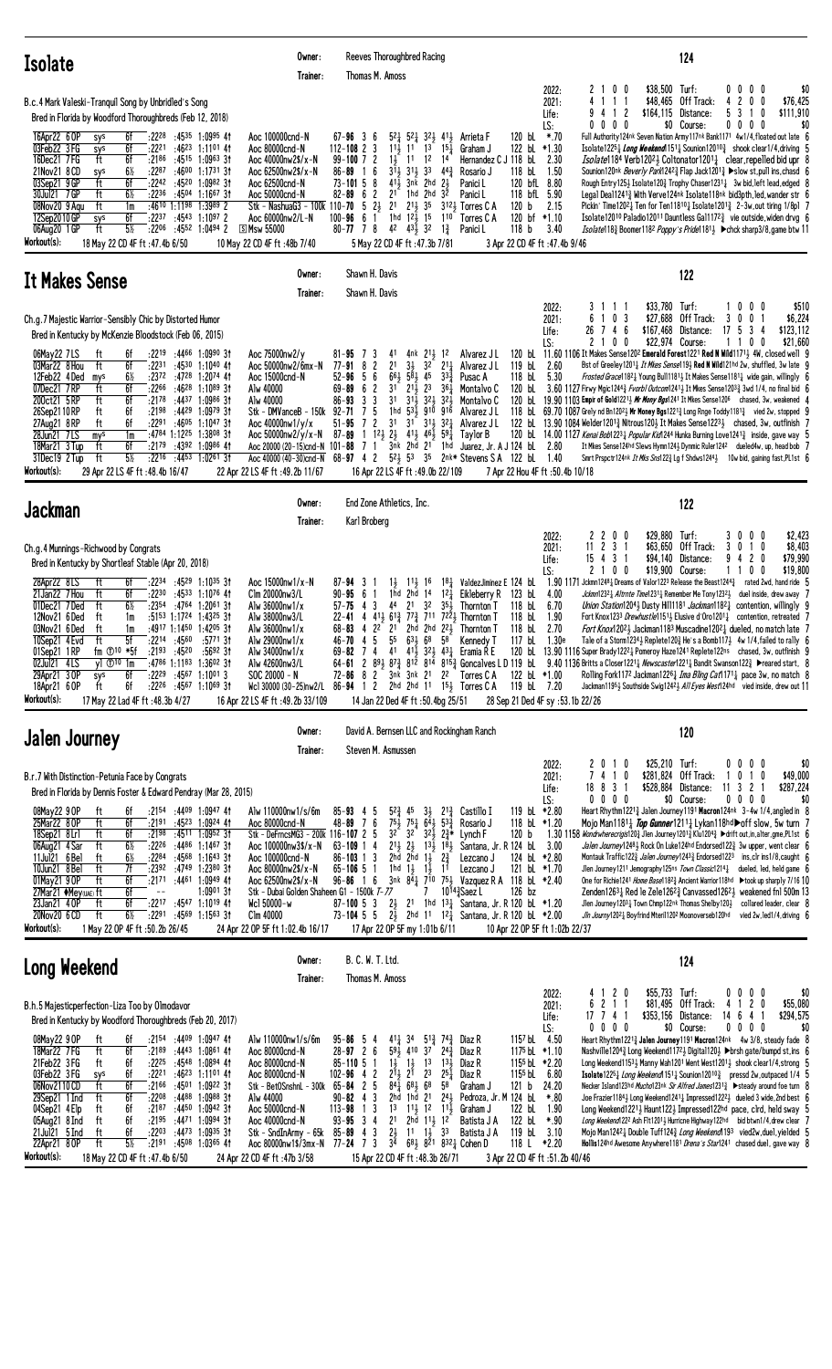| <b>Isolate</b>                                                                                                                                                                                                                                                                                                                                                                                                                                                                                                                                                                                                                                                                                                                                                                                                | Owner:<br>Trainer:                                                                                                                                                                                                                                                              | Reeves Thoroughbred Racing<br>Thomas M. Amoss                                                                                                                                                                                                                                                                                                                                                                                                                                                                                                                                                                                                                                                                                                                                                                                                                                                                                                                                                                                             | 124                                                                                                                                                                                                                                                                                                                                                                                                                                                                                                                                                                                                                                                                                                                                                                                                                                                                                                                                                                                                                                                                                                                                                                                                                                                                                                                                                                                                                                                                                                                         |
|---------------------------------------------------------------------------------------------------------------------------------------------------------------------------------------------------------------------------------------------------------------------------------------------------------------------------------------------------------------------------------------------------------------------------------------------------------------------------------------------------------------------------------------------------------------------------------------------------------------------------------------------------------------------------------------------------------------------------------------------------------------------------------------------------------------|---------------------------------------------------------------------------------------------------------------------------------------------------------------------------------------------------------------------------------------------------------------------------------|-------------------------------------------------------------------------------------------------------------------------------------------------------------------------------------------------------------------------------------------------------------------------------------------------------------------------------------------------------------------------------------------------------------------------------------------------------------------------------------------------------------------------------------------------------------------------------------------------------------------------------------------------------------------------------------------------------------------------------------------------------------------------------------------------------------------------------------------------------------------------------------------------------------------------------------------------------------------------------------------------------------------------------------------|-----------------------------------------------------------------------------------------------------------------------------------------------------------------------------------------------------------------------------------------------------------------------------------------------------------------------------------------------------------------------------------------------------------------------------------------------------------------------------------------------------------------------------------------------------------------------------------------------------------------------------------------------------------------------------------------------------------------------------------------------------------------------------------------------------------------------------------------------------------------------------------------------------------------------------------------------------------------------------------------------------------------------------------------------------------------------------------------------------------------------------------------------------------------------------------------------------------------------------------------------------------------------------------------------------------------------------------------------------------------------------------------------------------------------------------------------------------------------------------------------------------------------------|
| B.c.4 Mark Valeski-Tranguil Song by Unbridled's Song<br>Bred in Florida by Woodford Thoroughbreds (Feb 12, 2018)<br>16Apr22 6 OP<br>$:22^{28}$ $:45^{35}$ 1:0995 41<br>sys<br>6f<br>03Feb22 3FG<br>6f<br>:22 <sup>21</sup> :46 <sup>23</sup> 1:11 <sup>01</sup> 41<br>sys<br>16Dec21 7FG<br>ft<br>6f<br>:2186<br>:4515 1:0963 3†<br>21Nov21 8 CD<br>$6\%$<br>:2287<br>:46 <sup>00</sup> 1:17 <sup>31</sup> 3†<br>sys<br>03Sep21 9 GP<br>ft<br>6f<br>:2242 :4520 1:0982 31<br>30Jul21 7GP<br>ft<br>$6\%$<br>:2236<br>:4504 1:1667 31<br>$:4610$ 1:1198 1:3989 2<br>08Nov20 9 Agu<br>ft<br>1m<br>6f<br>12Sep2010GP<br>$:22^{37}$ $:45^{43}$ 1:1097 2<br>sys<br>$5\%$<br>06Aug20 1 GP<br>ft<br>$:22^{06}$ $:45^{52}$ 1:0494 2<br>Workout(s):<br>18 May 22 CD 4F ft :47.4b 6/50                                   | Aoc 100000cnd-N<br>Aoc 80000cnd-N<br>Aoc 40000nw2\$/x-N<br>Aoc 62500nw2\$/x-N<br>Aoc 62500cnd-N<br>Aoc 50000cnd-N<br>Stk - NashuaG3 - 100k 110-70 5 23 21<br>Aoc 60000nw2/L-N<br><b>SMsw 55000</b><br>10 May 22 CD 4F ft: 48b 7/40                                              | 120 bL *.70<br>$67 - 96$ 3 6<br>$5^2$ $\frac{1}{4}$ $5^2$ $\frac{1}{4}$ $3^2$ $\frac{1}{2}$ $4^1$ $\frac{1}{2}$ Arrieta F<br>$112 - 108$ 2 3<br>$11\frac{1}{2}$ 11<br>1 <sup>3</sup><br>$15\frac{1}{4}$<br>122 bL *1.30<br>Graham J<br>$99-100$ 7 2<br>$1\frac{1}{2}$<br>Hernandez C J 118 bL<br>12<br>14<br>11<br>$3^{11}$<br>118 bL<br>16<br>$31\frac{1}{2}$ $33$ $44\frac{3}{4}$<br>$86 - 89$<br>Rosario J<br>$73 - 101$ 5 8<br>$41\frac{1}{2}$<br>3nk 2hd<br>120 bfL 8.80<br>$2\frac{1}{2}$<br>Panici L<br>$82 - 89 = 6$ 2<br>1hd 2hd<br>3 <sup>2</sup><br>118 bfL 5.90<br>21<br>Panici L<br>$2^{11}$ <sub>2</sub> 3 <sup>5</sup><br>120 b 2.15<br>3 <sup>12</sup> <sup>3</sup> Torres C A<br>1hd $12\frac{1}{2}$ 15 110<br>120 bf *1.10<br>61<br>100-96<br>Torres C A<br>80-77 7 8 42 43 $\frac{1}{2}$ 32<br>118 <sub>b</sub><br>$1\frac{3}{4}$<br>Panici L<br>5 May 22 CD 4F ft : 47.3b 7/81<br>3 Apr 22 CD 4F ft :47.4b 9/46                                                                                                       | \$38,500 Turf:<br>2100<br>$0\,0\,0\,0$<br>2022:<br>\$0<br>\$48,465 Off Track:<br>4200<br>\$76,425<br>4 1 1 1<br>2021:<br>\$164,115 Distance:<br>5 3<br>\$111,910<br>Life:<br>-2<br>10<br>94<br>-1<br>$0\,0\,0\,0$<br>$0\ 0\ 0\ 0$<br>LS:<br>\$0 Course:<br>\$0<br>Full Authority 124nk Seven Nation Army 117nk Bank1171 4w1/4, floated out late 6<br>Isolate1225 $\frac{1}{4}$ Long Weekend151 $\frac{1}{4}$ Sounion12010 $\frac{3}{4}$ shook clear1/4, driving 5<br>2.30<br><i>Isolate</i> 1184 Verb120 <sup>2</sup> ½ Coltonator1201½ clear,repelled bid upr 8<br>1.50<br>Sounion120nk Beverly Park1242 <sup>3</sup> Flap Jack1201 <sup>3</sup> > slow st, pull ins, chasd 6<br>Rough Entry1253 Isolate1203 Trophy Chaser12311 3w bid, left lead, edged 8<br>Legal Deal1241 $\frac{3}{4}$ With Verve124nk Isolate118nk bid3pth, led, wander str 6<br>Pickin' Time12021 Ten for Ten118101 Isolate12013 2-3w, out tiring 1/8pl 7<br>Isolate 12010 Paladio 12011 Dauntless Gal 1172 <sup>3</sup> vie outside, widen drvg 6<br>3.40<br><i>Isolate</i> 118 <sub>2</sub> Boomer118 <sup>2</sup> <i>Poppy's Pride</i> 1181 <sub>3</sub> ► chck sharp3/8,game btw 11                                                                                                                                                                                                                                                                                                                                                              |
| <b>It Makes Sense</b>                                                                                                                                                                                                                                                                                                                                                                                                                                                                                                                                                                                                                                                                                                                                                                                         | Owner:<br>Trainer:                                                                                                                                                                                                                                                              | Shawn H. Davis<br>Shawn H. Davis                                                                                                                                                                                                                                                                                                                                                                                                                                                                                                                                                                                                                                                                                                                                                                                                                                                                                                                                                                                                          | 122                                                                                                                                                                                                                                                                                                                                                                                                                                                                                                                                                                                                                                                                                                                                                                                                                                                                                                                                                                                                                                                                                                                                                                                                                                                                                                                                                                                                                                                                                                                         |
| Ch.g.7 Majestic Warrior-Sensibly Chic by Distorted Humor<br>Bred in Kentucky by McKenzie Bloodstock (Feb 06, 2015)<br>:2219 :4466 1:0990 31<br>06May22 7LS<br>ft<br>6f<br>03Mar22 8 Hou<br>ft<br>6f<br>:2231<br>:4530 1:1040 41<br>12Feb22 4Ded<br>$6\%$<br>:2372 :4728 1:2074 41<br>mys<br>6f<br>07Dec21 7RP<br>:2266<br>:46 <sup>28</sup> 1:10 <sup>89</sup> 3†<br>ft<br>200ct21 5RP<br>ft<br>6f<br>$:21^{78}$ $:44^{37}$ 1:0986 31<br>:4429 1:0979 31<br>26Sep2110RP<br>ft<br>6f<br>:2198<br>27Aug21 8RP<br>6f<br>:2291 :4605 1:1047 31<br>ft<br>28Jun21 7LS<br>1m<br>:4784 1:1225 1:3808 31<br>mys<br>6f<br>18Mar21 3 Tup<br>:2179<br>:4392 1:0986 41<br>ft<br>$5\%$<br>ft<br>$:22^{16}$ $:44^{53}$ 1:0261 31<br>31Dec19 2 Tup<br>Workout(s):<br>29 Apr 22 LS 4F ft : 48.4b 16/47                         | Aoc 75000nw2/y<br>Aoc 50000nw2/6mx-N<br>Aoc 15000cnd-N<br>Alw 40000<br>Alw 40000<br>Stk - DMVanceB - 150k 92-71<br>Aoc $40000 \text{nw}1/\text{y}/\text{x}$<br>Aoc 50000nw2/y/x-N<br>Aoc 20000 (20-15)cnd-N $101-88$<br>22 Apr 22 LS 4F ft: 49.2b 11/67                         | LS:<br>4nk 21, 12<br>81-95<br>7<br>3<br>41<br>Alvarez J L<br>2 <sup>1</sup><br>$3\frac{1}{2}$<br>$211$ Alvarez J L<br>82<br>32<br>119 bL 2.60<br>77-91<br>$66\frac{1}{2}$ $5\overline{8}$ $\frac{1}{2}$ 45<br>$52 - 96$ 5 6<br>$33\frac{3}{7}$<br>118 bL<br>Pusac A<br>$2^{1\bar{1}}$ $2^{3}$<br>6 2<br>31<br>364<br>120 bL<br>69-89<br>Montalvo C<br>3 <sub>3</sub><br>$86 - 93$<br>3 <sup>1</sup><br>311 321 321<br>Montalvo C<br>7 <sub>5</sub><br>1hd 53, 910 916<br>Alvarez J L<br>$31^{\circ}$ $31\frac{1}{2}$ $32\frac{1}{4}$<br>$51 - 95$<br>72<br>3 <sup>1</sup><br>Alvarez J L<br>87-89 1 $1^2$ , $2^1$ , $4^1$ , $4^6$ , $5^9$<br>Taylor B<br>7 1 3nk 2hd 21 1hd<br>Juarez, Jr. A J 124 bL 2.80<br>Aoc 40000 (40-30)cnd-N 68-97 4 2 52 53 35 2nk* Stevens SA 122 bl 1.40<br>16 Apr 22 LS 4F ft: 49.0b 22/109<br>7 Apr 22 Hou 4F ft :50.4b 10/18                                                                                                                                                                                | \$33,780 Turf:<br>3<br>$0\,0\,0$<br>\$510<br>2022:<br>-1-1<br>1 0 3<br>\$27,688 Off Track:<br>\$6,224<br>2021:<br>6<br>300<br>26 7 4 6<br>\$167,468 Distance:<br>17 5 3 4<br>\$123,112<br>Life:<br>$2 \t1 \t0$<br>0<br>\$22,974 Course:<br>110<br>\$21,660<br>0<br>120 bl 11.60 1106 It Makes Sense1202 Emerald Forest1221 Red N Wild11713 4W, closed well 9<br>Bst of Greeley12011 It Mkes Sense1193 Red N Wild121hd 2w, shuffled, 3w late 9<br>5.30<br><i>Frosted Grace</i> 11821 Young Bull11811 It Makes Sense11811 wide gain, willingly 6<br>3.60 1127 Firwy Mgic1244 $\frac{3}{4}$ Fvorb1 Outcom1241 $\frac{1}{2}$ It Mkes Sense1203 $\frac{3}{4}$ 3wd 1/4, no final bid 6<br>120 bl 19.90 1103 Empir of Gold12213 <i>Mr Mony Bgs</i> 1241 It Mkes Sense1206 chased, 3w, weakened 4<br>118 bL 69.70 1087 Grely nd Bn1202 bMr Money Bgs1221 3 Long Rnge Toddy1181 3 vied 2w, stopped 9<br>122 bl. 13.90 1084 Welder1201 $\frac{3}{4}$ Nitrous120 $\frac{1}{2}$ It Makes Sense1223 $\frac{1}{2}$ chased, 3w, outfinish 7<br>120 bL 14.00 1127 Kenai Bob122 <sup>3</sup> Popular Kid1244 Hunka Burning Love124 <sup>13</sup> inside, gave way 5<br>It Mkes Sense124hd Slews Hymn124 $\frac{1}{2}$ Dynmic Ruler124 <sup>2</sup> dueled4w, up, head bob 7<br>Smrt Prspctr124nk It Mks Sns1223 Lg f Shdws12443 10w bid, gaining fast, PL1st 6                                                                                                                                                                               |
| <b>Jackman</b>                                                                                                                                                                                                                                                                                                                                                                                                                                                                                                                                                                                                                                                                                                                                                                                                | Owner:<br>Trainer:                                                                                                                                                                                                                                                              | End Zone Athletics, Inc.<br>Karl Broberg                                                                                                                                                                                                                                                                                                                                                                                                                                                                                                                                                                                                                                                                                                                                                                                                                                                                                                                                                                                                  | 122                                                                                                                                                                                                                                                                                                                                                                                                                                                                                                                                                                                                                                                                                                                                                                                                                                                                                                                                                                                                                                                                                                                                                                                                                                                                                                                                                                                                                                                                                                                         |
| Ch.g. 4 Munnings-Richwood by Congrats<br>Bred in Kentucky by Shortleaf Stable (Apr 20, 2018)<br>28Apr22 8LS<br>ft<br>$:22^{34}$ $:45^{29}$ 1:10 <sup>35</sup> 31<br>6f<br>21Jan22 7 Hou<br>ft<br>6f<br>:2230<br>:4533 1:1076 41<br>ft<br>$6\%$<br>:2354 :4764 1:2061 31<br>01Dec21 7Ded<br>:5153 1:1724 1:4325 31<br>12Nov21 6 Ded<br>ft<br>1m<br>ft<br>:4917 1:1450 1:4205 31<br>03Nov21 6 Ded<br>1m<br>ft<br>5f<br>$:22^{14}$ $:45^{60}$ $:57^{71}$ 31<br>10Sep21 4 Evd<br>$fm$ $①$ <sup>10</sup> $*5f$<br>:2193 :4520<br>$:5692$ 31<br>01Sep21 1RP<br>:4786 1:1183 1:3602 31<br>02Jul21 4LS<br>$vl$ $\Phi$ <sup>10</sup> 1m<br>$:22^{29}$ $:45^{67}$ 1:10013<br>29Apr21 3 OP<br>6f<br>sys<br>ft<br>6f<br>$:22^{26}$ $:45^{67}$ 1:1069 31<br>18Apr21 6 OP<br>Workout(s):<br>17 May 22 Lad 4F ft: 48.3b 4/27 | Aoc 15000nw1/x-N<br>Clm 20000nw3/L<br>Alw 36000nw1/x<br>Alw 38000nw3/L<br>Alw 36000nw1/x<br>Alw 29000nw1/x<br>Alw 34000nw1/x<br>Alw 42600nw3/L<br>SOC 20000 - N<br>Wcl 30000 (30-25)nw2/L<br>16 Apr 22 LS 4F ft: 49.2b 33/109                                                   | LS:<br>11<br>$11\frac{1}{2}$ 16<br>$18\frac{1}{4}$ ValdezJiminez E 124 bL<br>$87 - 94$ 3<br>$12\frac{1}{4}$<br>1hd<br>2hd 14<br>Eikleberry R<br>123 bL<br>$90 - 95 = 6$<br>$57 - 75$ 4 3<br>44<br>2 <sup>1</sup><br>32<br>35,<br>118 bL<br><b>Thornton T</b><br>22-41 4 413 613 773 711 7223 Thornton T<br>118 bL<br>118 bL<br>$68 - 83$ 4 2 <sup>2</sup> 2 <sup>1</sup><br>2hd 2hd 221<br>Thornton T<br>4 5 55<br>$63\frac{1}{2}685$<br>Kennedy T<br>117 bL<br>46-70<br>72-86 8 2 3nk 3nk 21 22 Torres CA<br>122 bL *1.00<br>86-94 1 2 2hd 2hd 11 153 Torres C A<br>119 bL 7.20<br>14 Jan 22 Ded 4F ft: 50.4bg 25/51<br>28 Sep 21 Ded 4F sy : 53.1b 22/26                                                                                                                                                                                                                                                                                                                                                                                | 2200<br>\$29,880 Turf:<br>3000<br>\$2,423<br>2022:<br>\$8,403<br>$11$ 2 3 1<br>\$63,650 Off Track:<br>2021:<br>3<br>0<br>10<br>15 4 3 1<br>\$94,140 Distance:<br>9 4 2 0<br>\$79,990<br>Life:<br>2 1 0 0<br>\$19,900 Course:<br>\$19,800<br>1 1 0<br>- 0<br>1.90 1171 Jckmn1248 $\frac{1}{4}$ Dreams of Valor1223 Release the Beast1244 $\frac{3}{4}$ rated 2wd, hand ride 5<br>Jckmn1232 <sub>4</sub> Altrnte Time1231 <sub>4</sub> Remember Me Tony1232 <sub>2</sub> duel inside, drew away 7<br>4.00<br>6.70<br>Union Station12043 Dusty Hill1181 Jackman1182 $\frac{1}{4}$ contention, willingly 9<br>1.90<br>Fort Knox1233 Drewhustle11511 Elusive d'Oro12011 contention, retreated 7<br>2.70<br><i>Fort Knox</i> 120 <sup>2</sup> } Jackman118 <sup>3</sup> Muscadine120 <sup>2</sup> <sub>4</sub> dueled, no match late 7<br>1.30e<br>Tale of a Storm1234 $\frac{1}{2}$ Replete120 $\frac{3}{2}$ He's a Bomb117 $\frac{1}{2}$ 4w 1/4, failed to rally 6<br>69-82 7 4 41 41 $\frac{1}{2}$ 32 $\frac{1}{2}$ 43 $\frac{1}{4}$ Eramia R E 120 bL 13.90 1116 Super Brady 122 <sup>2</sup> $\frac{1}{4}$ Pomeroy Haze 124 <sup>1</sup> Replete 122 <sup>ns</sup> chased, 3w, outfinish 9<br>64-61 2 89} 87} 812 814 815} Goncalves LD 119 bL 9.40 1136 Britts a Closer 1221} Newscaster1221} Bandit Swanson122} >reared start, 8<br>Rolling Fork1172 Jackman1226 $\frac{1}{4}$ <i>Ima Bling Cat</i> 1171 $\frac{1}{4}$ pace 3w, no match 8<br>Jackman11951 Southside Swig12421 All Eyes West124hd vied inside, drew out 11 |
| <b>Jalen Journey</b>                                                                                                                                                                                                                                                                                                                                                                                                                                                                                                                                                                                                                                                                                                                                                                                          | Owner:<br>Trainer:                                                                                                                                                                                                                                                              | David A. Bernsen LLC and Rockingham Ranch<br>Steven M. Asmussen                                                                                                                                                                                                                                                                                                                                                                                                                                                                                                                                                                                                                                                                                                                                                                                                                                                                                                                                                                           | 120                                                                                                                                                                                                                                                                                                                                                                                                                                                                                                                                                                                                                                                                                                                                                                                                                                                                                                                                                                                                                                                                                                                                                                                                                                                                                                                                                                                                                                                                                                                         |
| B.r.7 With Distinction-Petunia Face by Congrats<br>Bred in Florida by Dennis Foster & Edward Pendray (Mar 28, 2015)<br>$:2154$ $:4409$ $1:0947$ 41<br>08May22 9 OP<br>6f<br>Ħ.<br>25Mar22 80P<br>6f<br>:45 <sup>23</sup> 1:09 <sup>24</sup> 41<br>ft<br>:2191<br>18Sep21 8Lrl<br>ft<br>6f<br>$:2198$ $:4511$ $1:0952$ 31<br>$6\%$<br>06Aug21 4 Sar<br>ft<br>:2226<br>:4486 1:1467 3†<br>ft<br>6½<br>$:22^{84}$ $:45^{68}$ 1:1643 31<br>11Jul21 6 Bel<br>10Jun21 8 Bel<br>ft<br>7f<br>:2392 :4749 1:2380 31<br>01May21 90P<br>6f<br>:2171 :4461 1:0949 41<br>ft<br>27Mar21 ♦Mey(UAE) ft<br>6f<br>$1:0901$ 3t<br>$\sim$ $-$<br>6f<br>$:22^{17}$ $:45^{47}$ 1:1019 41<br>23Jan21 40P<br>ft<br>$6\%$<br>20Nov20 6 CD<br>ft<br>$:2291$ $:4569$ 1:1563 31<br>Workout(s):<br>1 May 22 OP 4F ft : 50.2b 26/45         | Alw 110000nw1/s/6m<br>Aoc 80000cnd-N<br>Stk - DeFrncsMG3 - 200k 116-107 2 5<br>Aoc 100000nw3\$/x-N<br>Aoc 100000cnd-N<br>Aoc 80000nw2\$/x-N<br>Aoc 62500nw2\$/x-N<br>Stk - Dubai Golden Shaheen G1 - 1500k T-77<br>Wc1 50000-w<br>Clm 40000<br>24 Apr 22 OP 5F ft 1:02.4b 16/17 | $5^{2}\frac{3}{4}$<br>119 bL *2.80<br>$85 - 93$ 4 5<br>45<br>$3\frac{1}{2}$ $2^{1\frac{3}{4}}$<br>Castillo I<br>$75\frac{1}{2}$<br>$75\frac{1}{4}$ $6\overline{4}$ $\frac{1}{2}$ $53\frac{3}{4}$<br>48-89 7 6<br>118 bL *1.20<br>Rosario J<br>$32^2$<br>$3^{2}$ $3^{2}$ $2^{3}$ $2^{3}$ *<br>120 <sub>b</sub><br>Lynch F<br>$2^{11}_{2}$ $2^{1}_{2}$ $1^{31}_{2}$ $1^{81}_{2}$<br>Santana, Jr. R 124 bl<br>$63 - 109$ 1 4<br>$86 - 103$ 1 3<br>2hd 2hd $1\frac{1}{2}$ $2\frac{3}{4}$<br>124 bL *2.80<br>Lezcano.<br>1hd $1\frac{1}{2}$ $1\frac{1}{2}$<br>11<br>$65 - 106$ 5 1<br>121 bL *1.70<br>Lezcano J<br>$96 - 86$ 1 6<br>3nk $84\frac{1}{4}$ 710 751 Vazquez R A 118 bL *2.40<br>10143 Saez L<br>$126$ bz<br>7<br>$87 - 10053$ $2\frac{1}{2}$<br>21 1hd $13\frac{1}{4}$ Santana, Jr. R 120 bL *1.20<br>73-104 5 5 $2\frac{1}{2}$ 2hd 11 12 $\frac{1}{4}$ Santana, Jr. R 120 bl *2.00<br>17 Apr 22 OP 5F my 1:01b 6/11<br>10 Apr 22 OP 5F ft 1:02b 22/37                                                                             | \$25,210 Turf:<br>2010<br>$0\ 0\ 0\ 0$<br>2022:<br>\$0<br>\$281,824 Off Track:<br>\$49,000<br>2021:<br>7410<br>0 1 0<br>-1<br>\$528,884 Distance:<br>11 3 2 1<br>\$287,224<br>18 8 3 1<br>Life:<br>\$0 Course:<br>$0\ 0\ 0\ 0$<br>\$0<br>LS:<br>$0\ 0\ 0\ 0$<br>Heart Rhythm12213 Jalen Journey1191 Macron124nk 3-4w 1/4, angled in 8<br>Mojo Man11811 <i>Top Gunner</i> 12111 Lykan118hd $\rightarrow$ off slow, 5w turn 7<br>1.30 1158 Wondrwherecrigis120½ Jlen Journey1201½ Klu1204½ ▶ drift out, in, alter, gme, PL1st 6<br>3.00<br>Jalen Journey12483 Rock On Luke124hd Endorsed1223 3w upper, went clear 6<br>Montauk Traffic1223 Jalen Journey12433 Endorsed1223 ins, clr ins1/8, caught 6<br>Jlen Journey1211 Jemography125ns Town Classic12141 dueled, led, held game 6<br>One for Richie1241 Home Base118 <sup>2</sup> § Ancient Warrior118hd ▶ took up sharply 7/16 10<br>Zenden1263 $\frac{1}{4}$ Red le Zele1262 $\frac{3}{4}$ Canvassed1262 $\frac{1}{2}$ weakened fnl 500m 13<br>Jlen Journey12031 Town Chmp122nk Thomas Shelby1201<br>collared leader, clear 8<br>Jin Journy12021 Boyfrind Mteril1202 Moonoverseb120hd<br>vied 2w, led 1/4, driving 6                                                                                                                                                                                                                                                                                                                                                      |
| Long Weekend                                                                                                                                                                                                                                                                                                                                                                                                                                                                                                                                                                                                                                                                                                                                                                                                  | Owner:<br>Trainer:                                                                                                                                                                                                                                                              | B. C. W. T. Ltd.<br>Thomas M. Amoss                                                                                                                                                                                                                                                                                                                                                                                                                                                                                                                                                                                                                                                                                                                                                                                                                                                                                                                                                                                                       | 124                                                                                                                                                                                                                                                                                                                                                                                                                                                                                                                                                                                                                                                                                                                                                                                                                                                                                                                                                                                                                                                                                                                                                                                                                                                                                                                                                                                                                                                                                                                         |
| B.h.5 Majesticperfection-Liza Too by Olmodavor<br>Bred in Kentucky by Woodford Thoroughbreds (Feb 20, 2017)<br>$:2154$ $:4409$ $1:0947$ 41<br>08May22 9 OP<br>ft<br>6f<br>18Mar22 7 FG<br>ft<br>6f<br>$:2189$ $:4443$ $1:0861$ 41<br>21Feb22 3FG<br>$:22^{25}$ $:45^{48}$ 1:0894 41<br>6f<br>ft<br>03Feb22 3FG<br>6f<br>$:22^{21}$ $:46^{23}$ 1:1101 41<br>sys<br>06Nov2110CD<br>ft<br>6f<br>$:21^{66}$ $:45^{01}$ 1:0922 31<br>6f<br>ft<br>:2208<br>:4488 1:0988 3†<br>29Sep21 1 Ind<br>04Sep21 4 Elp<br>ft<br>6f<br>$:2187$ $:4450$ 1:0942 31<br>6f<br>05Aug21 8 Ind<br>ft<br>$:2195$ $:4471$ $1:0994$ 31<br>:2203<br>:4473 1:0935 31<br>$21$ Jul $21$ 5 Ind<br>ft<br>6f<br>ft<br>$5\%$<br>22Apr21 8OP<br>$:2191$ $:4508$ 1:0365 41<br>Workout(s):<br>18 May 22 CD 4F ft -47 4h 6/50                        | Alw 110000nw1/s/6m<br>Aoc 80000cnd-N<br>Aoc 80000cnd-N<br>Aoc 80000cnd-N<br>Stk - BetOSnshnL - 300k 65-84 2 5<br>Alw 44000<br>Aoc 50000cnd-N<br>Aoc 40000cnd-N<br>Stk - SndInArmy - 65k<br>Aoc 80000nw1\$/3mx-N 77-24 7 3<br>24 Apr 22 CD 4F ft -47b 3/58                       | $4^{11}$ 34<br>$5^{13}_{4}$ 74 $^{3}_{4}$ Diaz R<br>1157 bL 4.50<br>$95 - 86$ 5 4<br>$2^{4^{3}_{7}}$<br>$28 - 97$ 2 6<br>591<br>410 37<br>1175 bL *1.10<br>Diaz R<br>$85 - 110$ 5 1<br>$1\frac{1}{2}$ $1\frac{1}{2}$ $1\frac{3}{2}$<br>$13\frac{1}{2}$<br>1155 bL *2.20<br>Diaz R<br>$2^{11}$<br>2 <sup>3</sup><br>1155 bL 6.80<br>$102 - 96$ 4 2<br>2 <sup>1</sup><br>$25\frac{1}{4}$<br>Diaz R<br>$84\overline{4}$ 6 <sup>8</sup> / <sub>2</sub> 6 <sup>8</sup><br>58<br>Graham J<br>121 b 24.20<br>$90 - 82$ 4 3<br>2hd 1hd 21 243 Pedroza, Jr. M 124 bl.<br>1 <sup>3</sup><br>$1^3$ $1^1\frac{1}{2}$ $1^2$ $1^1\frac{1}{2}$<br>122 bL<br>$113 - 98$<br>Graham J<br>$93 - 95$ 3 4<br>2hd $11\frac{1}{2}$ $12^{-}$<br>2 <sup>1</sup><br>122 bL *.90<br>Batista J A<br>$85 - 89$ 4 3<br>$2\frac{1}{2}$ 11 $1\frac{1}{2}$ 33<br>119 bL 3.10<br>Batista J A<br>3 <sup>4</sup><br>$68\frac{1}{2}$ 8 <sup>21</sup> 8 <sup>32</sup> $\frac{1}{4}$ Cohen D<br>118 L *2.20<br>15 Apr 22 CD 4F ft -48 3b 26/71<br>3 Apr 22 CD 4F ft -51 2b 40/46 | \$55,733 Turf:<br>4 1 2 0<br>$0\,0\,0\,0$<br>2022:<br>\$0<br>\$55,080<br>\$81,495 Off Track:<br>4 1 2 0<br>2021:<br>6211<br>\$353,156 Distance:<br>14 6 4 1<br>\$294,575<br>17 7 4 1<br>Life:<br>$0\ 0\ 0\ 0$<br>\$0<br>$0\,0\,0\,0$<br>\$0 Course:<br>LS:<br>Heart Rhythm12213 Jalen Journey1191 Macron124nk 4w 3/8, steady fade 8<br>Nashville12043 Long Weekend11723 Digita11203 ▶brsh gate/bumpd st, ins 6<br>Long Weekend11533 Manny Wah1201 Went West12013 shook clear1/4, strong 5<br>Isolate12251 Long Weekend 1511 Sounion120103 pressd 2w, outpaced 1/4 5<br>Necker Island123hd <i>Mucho</i> 123nk Sir Alfred James123 <sup>13</sup> ▶ steady around foe turn 8<br>Joe Frazier11843 Long Weekend12411 Impressed12223 dueled 3 wide, 2nd best 6<br>*.80<br>1.90<br>Long Weekend1221, Haunt122, Impressed122hd pace, clrd, held sway 5<br>Long Weekend1222 Ash F1t12013 Hurricne Highway122hd bid btwn1/4, drew clear 7<br>Mojo Man12421 Double Tuff1243 Long Weekend 193 vied2w, duel, yielded 5<br>Hollis124hd Awesome Anywhere1181 Drena's Star1241 chased duel, gave way 8                                                                                                                                                                                                                                                                                                                                                                                                                                      |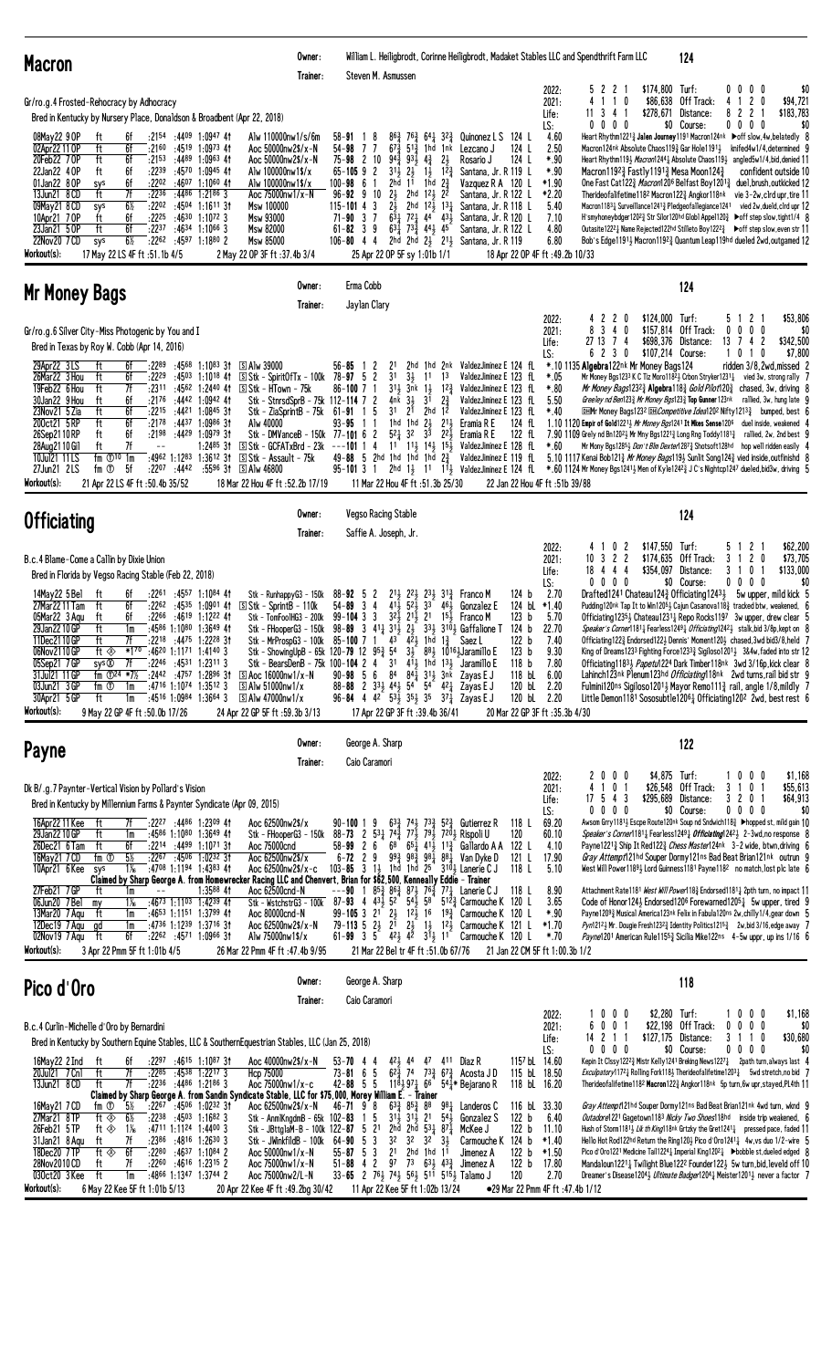| <b>Macron</b>                                                                                                                                                                                                                                                                                                                                                                                                                                                                                                                                                                                                                                                                                                                                                                                                                                                                                                                                                                                                                                                                                                                                                                                                                         | Owner:<br>Trainer: | Steven M. Asmussen                                                                                                                                                                                                                                                                                                                                                                                                                                                                                                                                                                     |                                                                                                                                                                                                                                                                                                                                                                                                                                                                                              |                                                                                                                                                                                                                                                                                                                                                                                   |                                                                                                                                                    | William L. Heiligbrodt, Corinne Heiligbrodt, Madaket Stables LLC and Spendthrift Farm LLC                                                                                                                   | 124                                                                                                                                                                                                                                                                                                                                                                                                                                                                                                                                                                                                                                                                                                                                                                                                                                                                                                                                                                                                                                                 |                                                                                                                                                                                |
|---------------------------------------------------------------------------------------------------------------------------------------------------------------------------------------------------------------------------------------------------------------------------------------------------------------------------------------------------------------------------------------------------------------------------------------------------------------------------------------------------------------------------------------------------------------------------------------------------------------------------------------------------------------------------------------------------------------------------------------------------------------------------------------------------------------------------------------------------------------------------------------------------------------------------------------------------------------------------------------------------------------------------------------------------------------------------------------------------------------------------------------------------------------------------------------------------------------------------------------|--------------------|----------------------------------------------------------------------------------------------------------------------------------------------------------------------------------------------------------------------------------------------------------------------------------------------------------------------------------------------------------------------------------------------------------------------------------------------------------------------------------------------------------------------------------------------------------------------------------------|----------------------------------------------------------------------------------------------------------------------------------------------------------------------------------------------------------------------------------------------------------------------------------------------------------------------------------------------------------------------------------------------------------------------------------------------------------------------------------------------|-----------------------------------------------------------------------------------------------------------------------------------------------------------------------------------------------------------------------------------------------------------------------------------------------------------------------------------------------------------------------------------|----------------------------------------------------------------------------------------------------------------------------------------------------|-------------------------------------------------------------------------------------------------------------------------------------------------------------------------------------------------------------|-----------------------------------------------------------------------------------------------------------------------------------------------------------------------------------------------------------------------------------------------------------------------------------------------------------------------------------------------------------------------------------------------------------------------------------------------------------------------------------------------------------------------------------------------------------------------------------------------------------------------------------------------------------------------------------------------------------------------------------------------------------------------------------------------------------------------------------------------------------------------------------------------------------------------------------------------------------------------------------------------------------------------------------------------------|--------------------------------------------------------------------------------------------------------------------------------------------------------------------------------|
| Gr/ro.g.4 Frosted-Rehocracy by Adhocracy<br>Bred in Kentucky by Nursery Place, Donaldson & Broadbent (Apr 22, 2018)<br>08May22 9 OP<br>6f<br>:2154<br>$:44^{09}$ 1:0947 41<br>Alw 110000nw1/s/6m<br>ft<br>$:45^{19}$ 1:0973 41<br>02Apr22 11 OP<br>ft<br>6f<br>:2160<br>Aoc 50000nw2\$/x-N<br>20Feb22 70P<br>ft<br>6f<br>$:21^{53}$<br>:4489 1:0963 41<br>Aoc 50000nw2\$/x-N<br>22Jan22 4 OP<br>6f<br>:2239<br>:45 <sup>70</sup> 1:09 <sup>45</sup> 41<br>ft<br>Alw 100000nw1\$/x<br>01Jan22 8 OP<br>:4607 1:1060 41<br>6f<br>:2202<br>Alw 100000nw1\$/x<br>sys<br>7f<br>13Jun21 8 CD<br>ft<br>:2236<br>:4486<br>$1:2186$ 3<br>Aoc 75000nw1/x-N<br>$6\frac{1}{2}$<br>:2202<br>09May21 8 CD<br>:4504 1:1611 31<br>sys<br>Msw 100000<br>6f<br>$:22^{25}$<br>:4630<br>$1:10^{72}$ 3<br>10Apr21 70P<br>Msw 93000<br>ft<br>23Jan21 50P<br>ft<br>6f<br>:2237<br>:4634 1:1066 3<br>Msw 82000<br>22Nov20 7 CD<br>$6\frac{1}{2}$<br>:4597 1:1880 2<br>:2262<br>Msw 85000<br>sys<br>Workout(s):<br>17 May 22 LS 4F ft :51.1b 4/5<br>2 May 22 OP 3F ft : 37.4b 3/4                                                                                                                                                                               |                    | $58 - 91$<br>8<br>54-98<br>7<br>7<br>$75 - 98$ 2 10<br>$65 - 105$ 9 2<br>$100 - 98 = 6$<br>-1<br>$2\frac{1}{2}$<br>10<br>$96 - 92$ 9<br>$115 - 101$ 4 3<br>$2\overline{2}$<br>$71 - 90$ 3 7<br>$61 - 82$ 3 9<br>106-80 4 4 2hd 2hd 2 <sup>1</sup> / <sub>2</sub> 2 <sup>1</sup> / <sub>2</sub> Santana, Jr. R 119                                                                                                                                                                                                                                                                      | $86\frac{3}{4}$ 76 $\frac{3}{4}$<br>$64\frac{1}{4}$ $32\frac{3}{4}$<br>$67\frac{3}{4}$ 51 $\frac{3}{4}$<br>1hd 1nk<br>$94\frac{3}{4}$<br>$93\frac{1}{2}$<br>$4\frac{3}{4}$<br>$2\frac{1}{2}$<br>$31\frac{1}{2}$<br>$1\frac{1}{2}$ $12\frac{3}{4}$<br>$2h\bar{d}$<br>1 <sup>1</sup><br>1 <sub>hd</sub><br>2hd<br>$12\frac{1}{2}$<br>2hd $12\frac{1}{2}$ $13\frac{1}{4}$<br>$6\overline{3}$ 721 44 431<br>$63\frac{1}{4}$ 73 $\frac{3}{4}$ 44 $\frac{1}{2}$ 45<br>25 Apr 22 OP 5F sy 1:01b 1/1 | Quinonez L S<br>Lezcano J<br>$2\frac{1}{2}$<br>Rosario J<br>Santana, Jr. R 119 L<br>$2\frac{3}{4}$<br>Vazquez R A 120 L<br>22<br>Santana, Jr. R 122 L<br>Santana, Jr. R 118 L<br>Santana, Jr. R 120 L<br>Santana, Jr. R 122 L                                                                                                                                                     | 124 L<br>124 L<br>124 L                                                                                                                            | 522<br>2022:<br>4 1 1<br>2021:<br>0<br>11 3 4 1<br>Life:<br>LS:<br>$0\,0\,0\,0$<br>4.60<br>2.50<br>$*.90$<br>$*.90$<br>$*1.90$<br>*2.20<br>5.40<br>7.10<br>4.80<br>6.80<br>18 Apr 22 OP 4F ft :49.2b 10/33  | \$174,800 Turf:<br>\$86,638<br>Off Track:<br>Distance:<br>\$278,671<br>\$0 Course:<br>Heart Rhythm12213 Jalen Journey1191 Macron124nk Doff slow, 4w, belatedly 8<br>Macron124nk Absolute Chaos1193 Gar Hole11913 knifed4w1/4.determined 9<br>Heart Rhythm1193 Macron12441 Absolute Chaos1193 angled5w1/4, bid, denied 11<br>Macron1192 $\frac{3}{4}$ Fastly 1191 $\frac{3}{4}$ Mesa Moon124 $\frac{3}{4}$<br>One Fast Cat1223 Macron1206 Belfast Boy12013 duel, brush, outkicked 12<br>Therideofalifetime1182 Macron1223 Angkor118nk vie 3-2w, clrd upr, tire 11<br>Macron1183 $\frac{1}{4}$ Surveillance1241 $\frac{3}{4}$ Pledgeofallegiance1241 vied 2w, dueld, clrd upr 12<br>H'smyhoneybdger120 <sup>2</sup> § Str Silor120hd Glob1 Appel120 ₹ → off step slow, tight1/4 8<br>Outasite1222 Mame Rejected122hd Stilleto Boy1222 → boff step slow, even str 11<br>Bob's Edge11913 Macron11923 Quantum Leap119hd dueled 2wd, outgamed 12                                                                                                          | $0\quad0$<br>0 <sub>0</sub><br>\$0<br>2 <sub>0</sub><br>\$94,721<br>4<br>-1<br>$\mathbf{2}$<br>82<br>\$183,783<br>$0\,0\,0\,0$<br>\$0<br>confident outside 10                  |
| Mr Money Bags                                                                                                                                                                                                                                                                                                                                                                                                                                                                                                                                                                                                                                                                                                                                                                                                                                                                                                                                                                                                                                                                                                                                                                                                                         | Owner:<br>Trainer: | Erma Cobb<br>Jaylan Clary                                                                                                                                                                                                                                                                                                                                                                                                                                                                                                                                                              |                                                                                                                                                                                                                                                                                                                                                                                                                                                                                              |                                                                                                                                                                                                                                                                                                                                                                                   |                                                                                                                                                    |                                                                                                                                                                                                             | 124                                                                                                                                                                                                                                                                                                                                                                                                                                                                                                                                                                                                                                                                                                                                                                                                                                                                                                                                                                                                                                                 |                                                                                                                                                                                |
| Gr/ro.g.6 Silver City-Miss Photogenic by You and I<br>Bred in Texas by Roy W. Cobb (Apr 14, 2016)<br>29Apr22 3LS<br>6f<br>:2289<br>$:45^{68}$ 1:1083 31<br><b>SAIw 39000</b><br>ft<br>ft<br>6f<br>26Mar22 3 Hou<br>:2229<br>$:45^{03}$ 1:1018 41<br>$S$ Stk - Spirit Of Tx - 100k 78-97 5 2<br>19Feb22 6 Hou<br>ft<br>7f<br>:2311<br>:4562 1:2440 41<br>S Stk - HTown - 75k<br>30Jan22 9 Hou<br>6f<br>:2176<br>:4442 1:0942 41<br>ft<br>23Nov21 5 Zia<br>ft<br>6f<br>Stk - ZiaSprintB - 75k<br>:2215<br>$:4421$ 1:0845 31<br>200ct21 5RP<br>ft<br>6f<br>:2178<br>:4437<br>1:0986 31<br>Alw 40000<br>26Sep2110RP<br>ft<br>6f<br>:2198<br>:44 <sup>29</sup> 1:09 <sup>79</sup> 3†<br>7f<br>ft<br>1:2485 31<br>S Stk - GCFATxBrd - 23k<br>28Aug 21 10 Gil<br>$-$<br>S Stk - Assault - 75k<br>10Jul21 11LS<br>fm $\mathbb{O}^{10}$ 1m<br>$:4962$ 1:1283 1:3612 31<br>27Jun21 2LS<br>fm ①<br>5f<br>$:22^{07}$ $:44^{42}$<br>$:5596$ 31 S Alw 46800<br>Workout(s):<br>21 Apr 22 LS 4F ft :50.4b 35/52<br>18 Mar 22 Hou 4F ft :52.2b 17/19                                                                                                                                                                                                   |                    | $56 - 85$ 1<br>$\overline{c}$<br>2 <sup>1</sup><br>3 <sup>1</sup><br>$86 - 100$ 7 1<br>Stk - StnrsdSprB - 75k 112-114 7 2<br>3 <sup>1</sup><br>$61 - 91$<br>5<br>-1<br>$93 - 95$<br>-1-1<br>Stk - DMVanceB - 150k 77-101 6 2<br>$---101$ 1 4<br>49-88 5 2hd 1hd 1hd 1hd $2\frac{3}{4}$                                                                                                                                                                                                                                                                                                 | $3\frac{1}{2}$<br>11<br>$31\frac{1}{2}$ $3\bar{n}$ k<br>$1\frac{1}{2}$ $12\frac{3}{4}$<br>$4nk$ $3\frac{1}{2}$<br>3 <sup>1</sup><br>$2^{1}$<br>$2hd$ $12$<br>1hd 1hd $2\frac{1}{2}$<br>$5^2\frac{1}{4}$ 32<br>33<br>11 Mar 22 Hou 4F ft :51.3b 25/30                                                                                                                                                                                                                                         | 2hd 1hd 2nk ValdezJiminez E 124 fL<br>1 <sup>3</sup><br>ValdezJiminez E 123 fL<br>ValdezJiminez E 123 fL<br>$2\frac{3}{4}$<br>ValdezJiminez E 123 fL<br>ValdezJiminez E 123 fL<br>$21\frac{1}{2}$<br>Eramia R E<br>$2^{2}$<br>Eramia R E<br>11 11} 14} 15} ValdezJiminez E 128 fL<br>ValdezJiminez E 119 fL                                                                       | 124 fL<br>122 fL<br>22 Jan 22 Hou 4F ft :51b 39/88                                                                                                 | 20<br>2022:<br>-2<br>$3\quad 4\quad 0$<br>8<br>2021:<br>$\overline{1}$<br>Life:<br>27 13<br>4<br>6 2 3 0<br>LS:<br>*.10 1135 Algebra122nk Mr Money Bags124<br>*.05<br>$*.80$<br>5.50<br>$*40$<br>$*.60$     | \$124,000 Turf:<br>\$157,814 Off Track:<br>\$698,376 Distance:<br>\$107,214 Course:<br>Mr Money Bgs1233 K C Tiz Moro11823 Crbon Stryker12313 vied 3w, strong rally 7<br><i>Mr Money Bags</i> 123 <sup>23</sup> / <sub>4</sub> Algebra118 <sup>3</sup> / <sub>4</sub> <i>Gold Pilot</i> 120 <sup>3</sup> / <sub>4</sub> chased, 3w, driving 8<br>Greeley nd Ben1233 Mr Money Bgs1233 Top Gunner 123nk<br><b>DHMr Money Bags1232 DHCompetitive Idea1202 Nifty12133</b> bumped, best (<br>1.10 1120 Empir of Gold12213 Mr Money Bgs1241 It Mkes Sense1206 duel inside, weakened 4<br>7.90 1109 Grely nd Bn120 <sup>2</sup> 3 Mr Mny Bgs1221 <sup>3</sup> Long Rng Toddy1181 <sup>3</sup> rallied, 2w, 2nd best 9<br>Mr Mony Bgs12851 <i>Don't Blm Dexter</i> 1287 <sup>3</sup> Shotsoft128hd hop well ridden easily 4<br>5.10 1117 Kenai Bob1213 Mr Money Bags1193 Sunlit Song1243 vied inside, outfinishd 8<br>95-101 3 1 2hd 1} 11 11} ValdezJiminez E 124 fL *.60 1124 Mr Money Bgs1241} Men of Kyle1242} J C's Nightcp1247 dueled,bid3w, driving 5 | 2 <sup>1</sup><br>\$53,806<br>5<br>$0\quad0$<br>0<br>0<br>\$0<br>13<br>\$342,500<br>-7<br>2<br>4<br>\$7,800<br>101<br>0<br>ridden 3/8.2wd.missed 2<br>rallied, 3w, hung late 9 |
| <b>Officiating</b>                                                                                                                                                                                                                                                                                                                                                                                                                                                                                                                                                                                                                                                                                                                                                                                                                                                                                                                                                                                                                                                                                                                                                                                                                    | Owner:<br>Trainer: | Vegso Racing Stable<br>Saffie A. Joseph, Jr.                                                                                                                                                                                                                                                                                                                                                                                                                                                                                                                                           |                                                                                                                                                                                                                                                                                                                                                                                                                                                                                              |                                                                                                                                                                                                                                                                                                                                                                                   |                                                                                                                                                    |                                                                                                                                                                                                             | 124                                                                                                                                                                                                                                                                                                                                                                                                                                                                                                                                                                                                                                                                                                                                                                                                                                                                                                                                                                                                                                                 |                                                                                                                                                                                |
| B.c.4 Blame-Come a Callin by Dixie Union<br>Bred in Florida by Vegso Racing Stable (Feb 22, 2018)<br>14May22 5 Bel<br>:2261<br>:4557 1:1084 41<br>ft<br>6f<br>Stk - Runhappy $G3$ - 150 $k$<br>$:22^{62}$ $:45^{35}$ 1:0901 41<br>27Mar2211 Tam<br>ft<br>6f<br>$S$ Stk - Sprint B - 110 k<br>6f<br>:2266<br>:46 <sup>19</sup> 1:12 <sup>22</sup> 41<br>05Mar22 3 Agu<br>ft<br>Stk - TomFoo1HG3 - 200k<br>29Jan22 10 GP<br>ft<br>1m<br>:45 <sup>86</sup> 1:10 <sup>80</sup> 1:36 <sup>49</sup> 41<br>Stk - FHooperG3 - 150k<br>:22 <sup>18</sup> :44 <sup>75</sup> 1:22 <sup>28</sup> 3†<br>11Dec2110GP<br>ft<br>7f<br>*170<br>ft ◈<br>:46 <sup>20</sup> 1:11 <sup>71</sup> 1:41 <sup>40</sup> 3<br>06Nov2110GP<br>05Sep21 7 GP<br>sys <sup>®</sup><br>7f<br>:2246<br>:4531 1:2311 3<br>:2442 :4757 1:2896 31<br>31Jul21 11 GP<br>fm $\Phi^{24}$ *7%<br>$\boxed{S}$ Aoc 16000nw1/x-N<br>$:4716$ 1:1074 1:3512 3<br>03Jun21 3 GP<br>fm ①<br>$\boxed{S}$ Alw 51000nw1/x<br>1m<br>30Apr21 5 GP<br>$:4516$ 1:0984 1:3664 3<br>S Alw 47000nw1/x<br>ft<br>1m<br>Workout(s):<br>9 May 22 GP 4F ft :50.0b 17/26<br>24 Apr 22 GP 5F ft: 59.3b 3/13                                                                                              |                    | $88 - 92 = 5$<br>$\mathbf{z}$<br>$54 - 89$ 3 4<br>$99 - 104$ 3 3<br>98-89 3 4 <sup>1</sup> <sup>1</sup> <sub>4</sub> 3 <sup>1</sup> <sup>1</sup> <sub>2</sub> 2 <sup>1</sup> <sub>2</sub><br>Stk - MrProspG3 - 100k 85-100 7 1 43 423<br>Stk - ShowingUpB - 65k 120-79 12 $95\frac{3}{4}$ 5 <sup>4</sup> 3 <sup>1</sup> $3\frac{1}{2}$ 8 <sup>8</sup> 10 <sup>16</sup> Jaramillo E<br>Stk - BearsDenB - 75k 100-104 2 4<br>31<br>84<br>$90 - 98$ 5 6<br>88-88 2 333 443 54 54 421<br>96-84 4 4 <sup>2</sup> 5 <sup>3</sup> / <sub>2</sub> 3 <sup>5</sup> / <sub>2</sub> 3 <sup>5</sup> | $21\frac{1}{2}$<br>22,<br>$23\frac{1}{2}$ $31\frac{3}{4}$<br>$5^{2}$<br>$41\frac{1}{2}$<br>3 <sup>3</sup><br>321 211 21<br>1hd 1 $\frac{3}{7}$<br>411, 1hd 131<br>$84\frac{1}{4}$ $31\frac{1}{2}$ $3$ nk<br>17 Apr 22 GP 3F ft: 39.4b 36/41                                                                                                                                                                                                                                                  | Franco M<br>461<br>Gonzalez E<br>$15\frac{1}{2}$ Franco M<br>334 3104 Gaffalione T 124 b<br>Saez L<br>Jaramillo E<br>Zayas E J<br>Zayas E J<br>$37\frac{1}{4}$ Zayas E J                                                                                                                                                                                                          | 124 b<br>124 bL<br>123 b<br>122 b<br>123 b<br>118 <sub>b</sub><br>118 bL<br>120 bL<br>120 bL 2.20<br>20 Mar 22 GP 3F ft :35.3b 4/30                | 0<br>2022:<br>-2<br>$10 \t3 \t2 \t2$<br>2021:<br>18 4 4 4<br>Life:<br>$0\ 0\ 0\ 0$<br>LS:<br>2.70<br>$*1.40$<br>5.70<br>22.70<br>7.40<br>9.30<br>7.80<br>6.00<br>2.20                                       | \$147,550 Turf:<br>\$174,635 Off Track:<br>\$354,097 Distance:<br>\$0 Course:<br>Drafted1241 Chateau1243 Officiating12431 5w upper, mild kick 5<br>Pudding120 <sup>nk</sup> Tap It to Win120 <sup>5</sup> $\frac{1}{2}$ Cajun Casanova118 $\frac{3}{4}$ tracked btw, weakened, 6<br>Officiating12354 Chateau12314 Repo Rocks1197 3w upper, drew clear 5<br>Speaker's Corner11811 Fearless12491 Officiating12421 stalk, bid 3/8p, kept on 8<br>Officiating 1223 Endorsed 1223 Dennis' Moment 1203 chased, 3wd bid 3/8, held 7<br>King of Dreams1233 Fighting Force12333 Sigiloso12013 3&4w, faded into str 12<br>Officiating 11833 Papetul 224 Dark Timber 118nk 3wd 3/16p, kick clear 8<br>Lahinch123nk Plenum123hd Officiating118nk 2wd turns, rail bid str 9<br>Fulmini120ns Sigiloso12014 Mayor Remo1113 rail, angle 1/8, mildly 7<br>Little Demon1181 Sososubtle12061 Officiating1202 2wd, best rest 6                                                                                                                                          | 2<br>\$62,200<br>5<br>3<br>2 <sub>0</sub><br>\$73,705<br>-1<br>3<br>\$133,000<br>0<br>$0\ 0\ 0\ 0$<br>\$0                                                                      |
| <b>Payne</b>                                                                                                                                                                                                                                                                                                                                                                                                                                                                                                                                                                                                                                                                                                                                                                                                                                                                                                                                                                                                                                                                                                                                                                                                                          | Owner:<br>Trainer: | George A. Sharp<br>Caio Caramori                                                                                                                                                                                                                                                                                                                                                                                                                                                                                                                                                       |                                                                                                                                                                                                                                                                                                                                                                                                                                                                                              |                                                                                                                                                                                                                                                                                                                                                                                   |                                                                                                                                                    |                                                                                                                                                                                                             | 122                                                                                                                                                                                                                                                                                                                                                                                                                                                                                                                                                                                                                                                                                                                                                                                                                                                                                                                                                                                                                                                 |                                                                                                                                                                                |
| Dk B/.g.7 Paynter-Vertical Vision by Pollard's Vision<br>Bred in Kentucky by Millennium Farms & Paynter Syndicate (Apr 09, 2015)<br>:2227 :4486 1:2309 41<br>Aoc 62500nw2\$/x<br>16Apr22 11 Kee<br>ft<br>7f<br>29Jan22 10 GP<br>ft<br>$:4586$ 1:1080 1:3649 41<br>1m<br>26Dec21 6 Tam<br>ft<br>6f<br>:2214 :4499 1:1071 31<br>Aoc 75000cnd<br>$5\%$<br>fm <sup>①</sup><br>:2267 :4506 1:0232 31<br>16May21 7 CD<br>Aoc 62500nw2\$/x<br>:4708 1:1194 1:4383 41<br>10Apr21 6 Kee<br>$1\%$<br>Aoc 62500nw2\$/x-c<br>sys<br>Claimed by Sharp George A. from Homewrecker Racing LLC and Chenvert, Brian for \$62,500, Kenneally Eddie - Trainer<br>27Feb21 7 GP<br>ft<br>$1:3588$ 41<br>1m<br>06Jun20 7 Bel<br>$:4673$ 1:1103 1:4239 41<br>$1\%$<br>my<br>13Mar20 7 Agu<br>:4653 1:1151 1:3799 41<br>Aoc 80000cnd-N<br>ft<br>1m<br>:4736 1:1239 1:3716 31<br>12Dec19 7 Agu<br>gd<br>Aoc 62500nw2\$/x-N<br>1m<br>02Nov19 7 Agu<br>ft<br>6f<br>$:22^{62}$ $:45^{71}$ 1:0966 31<br>Alw 75000nw1\$/x<br>Workout(s):<br>3 Apr 22 Pmm 5F ft 1:01b 4/5<br>26 Mar 22 Pmm 4F ft :47.4b 9/95                                                                                                                                                         |                    | $90 - 100119$<br>Stk - FHooperG3 - 150k 88-73 2 531 74 $\frac{3}{4}$ 77 $\frac{7}{2}$ 79 $\frac{1}{2}$ 720 $\frac{1}{2}$ Rispoli U<br>$58 - 99$ 2 6<br>$6 - 72$ 2 9<br>$103 - 85$ 3<br>Aoc 62500cnd-N ---90 1 85 $\frac{3}{4}$ 86 $\frac{3}{4}$ 87 $\frac{1}{2}$ 76 $\frac{4}{4}$ 77 $\frac{1}{4}$ Lanerie C J<br>Stk - WstchstrG3 - 100k 87-93 4 43 $\frac{1}{2}$ 52 54 $\frac{5}{2}$ 58 51 $\frac{2}{3}$ Carmouche K<br>99-105 3 21 23 123 16 193 Carmouche K 120 L<br>$2^{1}$<br>$79 - 113$ 5<br>$2\frac{1}{2}$<br>$61 - 99$ 3 5                                                    | $1\frac{1}{2}$ 1hd 1hd $25$ <sup>4</sup><br>21<br>21 Mar 22 Bel tr 4F ft :51.0b 67/76                                                                                                                                                                                                                                                                                                                                                                                                        | $63\frac{3}{4}$ 74 $\frac{1}{2}$ 73 $\frac{3}{4}$ 52 $\frac{3}{4}$ Gutierrez R<br>$6^8$ $6^5$ $4^1$ $4^1$ $1^3$ Gallardo A A 122 L<br>$99\frac{3}{4}$ $98\frac{3}{4}$ $98\frac{1}{4}$ $88\frac{1}{4}$ Van Dyke D<br>3104 Lanerie C J<br>$5^{12}$ Carmouche K 120 L<br>1} 1 <sup>2</sup> } Carmouche K 121 L<br>$4^{2}\frac{1}{2}$ $4^{2}$ $3^{1}\frac{1}{2}$ 11 Carmouche K 120 L | 118 L<br>120<br>121 L<br>118 L<br>118 L<br>21 Jan 22 CM 5F ft 1:00.3b 1/2                                                                          | 0 <sub>0</sub><br>2022:<br>20<br>410<br>2021:<br>$\overline{1}$<br>$17 \t5 \t4 \t3$<br>Life:<br>$0\ 0\ 0\ 0$<br>LS:<br>69.20<br>60.10<br>4.10<br>17.90<br>5.10<br>8.90<br>3.65<br>$*.90$<br>$*1.70$<br>*.70 | \$4,875 Turf:<br>\$26,548 Off Track:<br>\$295,689<br>Distance:<br>\$0 Course:<br>Awsom Grry1181} Escpe Route120nk Soup nd Sndwich118} ▶hopped st, mild gain 10<br>Speaker's Corner11811 Fearless12491 Officiating12423 2-3wd, no response 8<br>Payne12213 Ship It Red1223 Chess Master124nk 3-2 wide, btwn, driving 6<br>Gray Attempt121hd Souper Dormy121ns Bad Beat Brian121nk outrun 9<br>West Will Power11894 Lord Guinness1181 Payne1182 no match, lost plc late 6<br>Attachment Rate1181 West Will Power118 <sup>3</sup> Endorsed1181 <sup>1</sup> 2pth turn, no impact 11<br>Code of Honor124 $\frac{1}{2}$ Endorsed120 <sup>6</sup> Forewarned120 <sup>5</sup> $\frac{1}{4}$ 5w upper, tired 9<br>Payne12093 Musical America123nk Felix in Fabula120ns 2w, chilly1/4, gear down 5<br>Pyn12121 Mr. Dougie Fresh12323 Identity Politics12153 2w, bid 3/16, edge away 7<br>Payne1201 American Rule11553 Sicilia Mike122ns 4-5w uppr, up ins 1/16 6                                                                                             | 10<br>0 <sub>0</sub><br>\$1,168<br>3<br>0 <sub>1</sub><br>\$55,613<br>-1<br>\$64,913<br>3 2 0 1<br>$0\ 0\ 0\ 0$<br>\$0                                                         |
| Pico d'Oro                                                                                                                                                                                                                                                                                                                                                                                                                                                                                                                                                                                                                                                                                                                                                                                                                                                                                                                                                                                                                                                                                                                                                                                                                            | Owner:<br>Trainer: | George A. Sharp<br>Caio Caramori                                                                                                                                                                                                                                                                                                                                                                                                                                                                                                                                                       |                                                                                                                                                                                                                                                                                                                                                                                                                                                                                              |                                                                                                                                                                                                                                                                                                                                                                                   |                                                                                                                                                    |                                                                                                                                                                                                             | 118                                                                                                                                                                                                                                                                                                                                                                                                                                                                                                                                                                                                                                                                                                                                                                                                                                                                                                                                                                                                                                                 |                                                                                                                                                                                |
| B.c.4 Curlin-Michelle d'Oro by Bernardini<br>Bred in Kentucky by Southern Equine Stables, LLC & Southern Equestrian Stables, LLC (Jan 25, 2018)<br>16May22 2 Ind<br>:22 <sup>97</sup> :46 <sup>15</sup> 1:10 <sup>87</sup> 3†<br>Aoc 40000nw2\$/x-N<br>ft<br>6f<br>20Jul21 7 Cn1<br>ft<br>7f<br>:2285<br>:4538 1:2217 3<br>Hcp 75000<br>$:22^{36}$ $:44^{86}$ 1:2186 3<br>7f<br>Aoc 75000nw1/x-c<br>13Jun21 8 CD<br>ft<br>Claimed by Sharp George A. from Sandin Syndicate Stable, LLC for \$75,000, Morey William E. - Trainer<br>5%<br>16May21 7 CD<br>fm ①<br>$:22^{67}$ $:45^{06}$ 1:0232 31<br>Aoc 62500nw2\$/x-N<br>27Mar21 8TP<br>$6\frac{1}{2}$<br>ft $\otimes$<br>$:22^{38}$ $:45^{03}$ 1:1682 3<br>Stk - AnmlKngdmB - $65k$ 102-83<br>:4711 1:1124 1:4400 3<br>26Feb21 5TP<br>ft $\otimes$<br>$1\%$<br>7f<br>:2386<br>:4816 1:2630 3<br>31Jan21 8 Agu<br>ft<br>Stk - JWinkfildB - 100k<br>18Dec20 7 TP<br>ft $\circledast$<br>6f<br>:2280<br>$:4637$ 1:1084 2<br>Aoc 50000nw1/x-N<br>7f<br>28Nov2010 CD<br>:2260<br>:4616 1:2315 2<br>ft<br>Aoc 75000nw1/x-N<br>ft<br>:4866 1:1347 1:3744 2<br>030ct20 3 Kee<br>1m<br>Aoc 75000nw2/L-N<br>Workout(s):<br>6 May 22 Kee 5F ft 1:01b 5/13<br>20 Apr 22 Kee 4F ft: 49.2bg 30/42 |                    | $53 - 70$ 4 4<br>$73 - 81$ 6 5<br>$42 - 88$ 5 5<br>$46 - 71$ $9$ 8<br>5<br>$\overline{1}$<br>Stk - JBttglaM-B - 100k 122-87 5 21<br>3 <sup>2</sup><br>$64 - 90$ 5 3<br>$55 - 87$ 5 3<br>2 <sup>1</sup><br>$51 - 88$ 4 2<br>33-65 2 761 741 561 517 5151 Talamo J                                                                                                                                                                                                                                                                                                                       | 421 44<br>$62\frac{5}{4}$ 74<br>$118\frac{1}{2}97\frac{1}{4}66$<br>$63\frac{3}{4}$ $85\frac{3}{4}$ $88$<br>$31\frac{1}{2}$ $31\frac{1}{2}$ $21$<br>2hd 2hd $\bar{5}3\frac{1}{4}$ $87\frac{5}{4}$<br>32<br>32<br>2hd 1hd $11$<br>97<br>11 Apr 22 Kee 5F ft 1:02b 13/24                                                                                                                                                                                                                        | 47 411 Diaz R<br>$7^{3}\frac{3}{4}$ 6 <sup>73</sup> / <sub>4</sub> Acosta JD<br>541* Bejarano R<br>$98\frac{1}{4}$ Landeros C<br>54 <sub>3</sub><br>Gonzalez S<br>McKee J<br>$3\frac{1}{2}$<br>Carmouche K<br>Jimenez A<br>73 $63\frac{1}{2}$ 43 $\frac{3}{4}$ Jimenez A                                                                                                          | 1157 bL 14.60<br>115 bL 18.50<br>118 bL 16.20<br>116 bL 33.30<br>122 <sub>b</sub><br>122 <sub>b</sub><br>124 b<br>122 <sub>b</sub><br>122 b<br>120 | 1000<br>2022:<br>0<br>$\mathbf 0$<br>2021:<br>6<br>-1<br>14 2 1 1<br>Life:<br>$0\ 0\ 0\ 0$<br>LS:<br>6.40<br>11.10<br>$*1.40$<br>$*1.50$<br>17.80<br>2.70<br>•29 Mar 22 Pmm 4F ft :47.4b 1/12               | \$2,280 Turf:<br>\$22,198 Off Track:<br>\$127,175 Distance:<br>\$0 Course:<br>Kepin It Clssy12223 Mistr Kelly1241 Breking News12271 2path turn, always last 4<br>Exculpatory11721 Rolling Fork1181 Therideofalifetime12031 5wd stretch, no bid 7<br>Therideofalifetime1182 Macron1223 Angkor118nk 5p turn, 6w upr, stayed, PL4th 11<br>Gray Attempt121hd Souper Dormy121ns Bad Beat Brian121nk 4wd turn, wknd 9<br>Outadore1221 Gagetown1183 Nicky Two Shoes118hd inside trip weakened, 6<br>Hush of Storm11814 Lik th King118nk Grtzky the Gret12414 pressed pace, faded 11<br>Hello Hot Rod122hd Return the Ring1204 Pico d'Oro12414 4w, vs duo 1/2-wire 5<br>Pico d'Oro1221 Medicine Tail12241 Imperial King12021 → bobble st, dueled edged 8<br>Mandaloun1221 $\frac{1}{4}$ Twilight Blue122 <sup>2</sup> Founder122 $\frac{1}{2}$ 5w turn, bid, leveld off 10<br>Dreamer's Disease12043 Ultimate Badger12041 Meister12011 never a factor 7                                                                                                     | \$1,168<br>$0\quad 0$<br>10<br>$0\quad 0$<br>\$0<br>$0\quad 0$<br>3 1 1 0<br>\$30,680<br>$0\quad 0$<br>\$0<br>0<br>0                                                           |